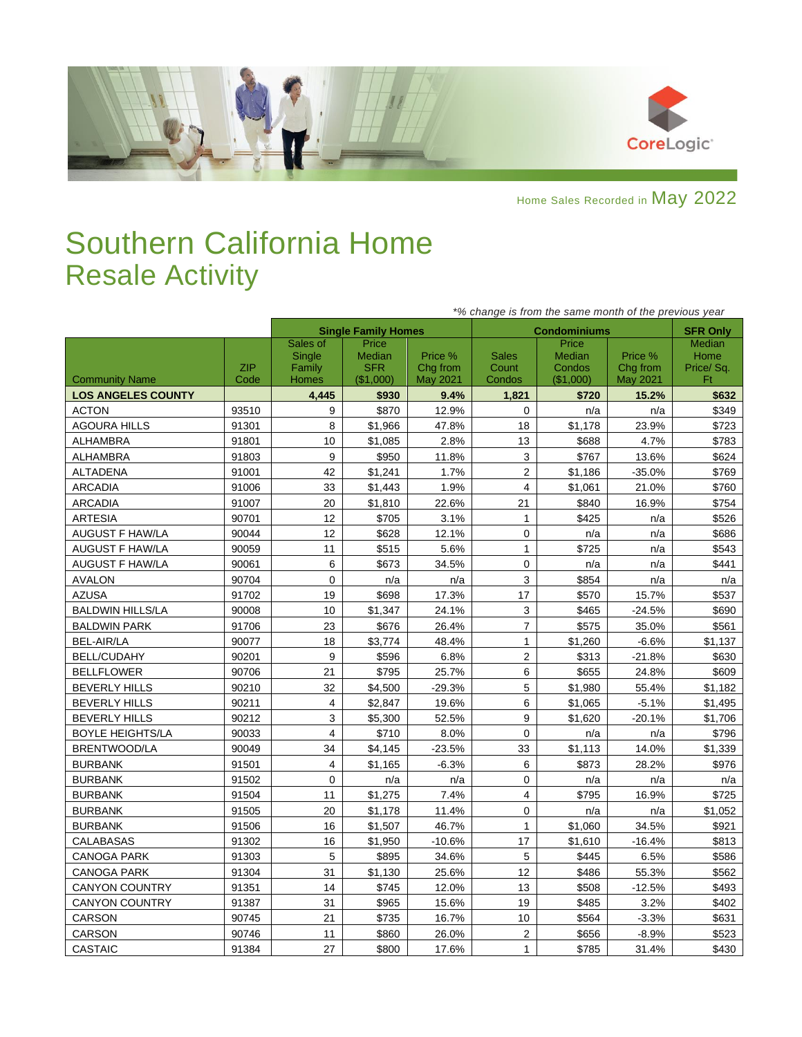

Home Sales Recorded in May 2022

## Southern California Home Resale Activity

|                           |                    | *% change is from the same month of the previous year |                                            |                                 |                                 |                                        |                                 |                                          |  |  |
|---------------------------|--------------------|-------------------------------------------------------|--------------------------------------------|---------------------------------|---------------------------------|----------------------------------------|---------------------------------|------------------------------------------|--|--|
|                           |                    |                                                       | <b>Single Family Homes</b>                 |                                 |                                 | <b>Condominiums</b>                    |                                 | <b>SFR Only</b>                          |  |  |
| <b>Community Name</b>     | <b>ZIP</b><br>Code | Sales of<br>Single<br>Family<br><b>Homes</b>          | Price<br>Median<br><b>SFR</b><br>(\$1,000) | Price %<br>Chg from<br>May 2021 | <b>Sales</b><br>Count<br>Condos | Price<br>Median<br>Condos<br>(\$1,000) | Price %<br>Chg from<br>May 2021 | <b>Median</b><br>Home<br>Price/Sq.<br>Ft |  |  |
| <b>LOS ANGELES COUNTY</b> |                    | 4.445                                                 | \$930                                      | 9.4%                            | 1.821                           | \$720                                  | 15.2%                           | \$632                                    |  |  |
| <b>ACTON</b>              | 93510              | 9                                                     | \$870                                      | 12.9%                           | 0                               | n/a                                    | n/a                             | \$349                                    |  |  |
| <b>AGOURA HILLS</b>       | 91301              | 8                                                     | \$1,966                                    | 47.8%                           | 18                              | \$1,178                                | 23.9%                           | \$723                                    |  |  |
| <b>ALHAMBRA</b>           | 91801              | 10                                                    | \$1,085                                    | 2.8%                            | 13                              | \$688                                  | 4.7%                            | \$783                                    |  |  |
| <b>ALHAMBRA</b>           | 91803              | 9                                                     | \$950                                      | 11.8%                           | 3                               | \$767                                  | 13.6%                           | \$624                                    |  |  |
| <b>ALTADENA</b>           | 91001              | 42                                                    | \$1,241                                    | 1.7%                            | $\overline{2}$                  | \$1,186                                | $-35.0%$                        | \$769                                    |  |  |
| <b>ARCADIA</b>            | 91006              | 33                                                    | \$1,443                                    | 1.9%                            | $\overline{4}$                  | \$1,061                                | 21.0%                           | \$760                                    |  |  |
| <b>ARCADIA</b>            | 91007              | 20                                                    | \$1,810                                    | 22.6%                           | 21                              | \$840                                  | 16.9%                           | \$754                                    |  |  |
| <b>ARTESIA</b>            | 90701              | 12                                                    | \$705                                      | 3.1%                            | $\mathbf{1}$                    | \$425                                  | n/a                             | \$526                                    |  |  |
| <b>AUGUST F HAW/LA</b>    | 90044              | 12                                                    | \$628                                      | 12.1%                           | 0                               | n/a                                    | n/a                             | \$686                                    |  |  |
| <b>AUGUST F HAW/LA</b>    | 90059              | 11                                                    | \$515                                      | 5.6%                            | $\mathbf{1}$                    | \$725                                  | n/a                             | \$543                                    |  |  |
| AUGUST F HAW/LA           | 90061              | 6                                                     | \$673                                      | 34.5%                           | 0                               | n/a                                    | n/a                             | \$441                                    |  |  |
| <b>AVALON</b>             | 90704              | $\pmb{0}$                                             | n/a                                        | n/a                             | 3                               | \$854                                  | n/a                             | n/a                                      |  |  |
| <b>AZUSA</b>              | 91702              | 19                                                    | \$698                                      | 17.3%                           | 17                              | \$570                                  | 15.7%                           | \$537                                    |  |  |
| <b>BALDWIN HILLS/LA</b>   | 90008              | 10                                                    | \$1,347                                    | 24.1%                           | 3                               | \$465                                  | $-24.5%$                        | \$690                                    |  |  |
| <b>BALDWIN PARK</b>       | 91706              | 23                                                    | \$676                                      | 26.4%                           | $\overline{7}$                  | \$575                                  | 35.0%                           | \$561                                    |  |  |
| <b>BEL-AIR/LA</b>         | 90077              | 18                                                    | \$3,774                                    | 48.4%                           | $\mathbf{1}$                    | \$1,260                                | $-6.6%$                         | \$1,137                                  |  |  |
| <b>BELL/CUDAHY</b>        | 90201              | 9                                                     | \$596                                      | 6.8%                            | $\overline{2}$                  | \$313                                  | $-21.8%$                        | \$630                                    |  |  |
| <b>BELLFLOWER</b>         | 90706              | 21                                                    | \$795                                      | 25.7%                           | 6                               | \$655                                  | 24.8%                           | \$609                                    |  |  |
| <b>BEVERLY HILLS</b>      | 90210              | 32                                                    | \$4,500                                    | $-29.3%$                        | 5                               | \$1,980                                | 55.4%                           | \$1,182                                  |  |  |
| <b>BEVERLY HILLS</b>      | 90211              | $\overline{4}$                                        | \$2.847                                    | 19.6%                           | 6                               | \$1.065                                | $-5.1%$                         | \$1,495                                  |  |  |
| <b>BEVERLY HILLS</b>      | 90212              | 3                                                     | \$5,300                                    | 52.5%                           | 9                               | \$1,620                                | $-20.1%$                        | \$1,706                                  |  |  |
| <b>BOYLE HEIGHTS/LA</b>   | 90033              | 4                                                     | \$710                                      | 8.0%                            | 0                               | n/a                                    | n/a                             | \$796                                    |  |  |
| <b>BRENTWOOD/LA</b>       | 90049              | 34                                                    | \$4,145                                    | $-23.5%$                        | 33                              | \$1,113                                | 14.0%                           | \$1,339                                  |  |  |
| <b>BURBANK</b>            | 91501              | $\overline{4}$                                        | \$1,165                                    | $-6.3%$                         | 6                               | \$873                                  | 28.2%                           | \$976                                    |  |  |
| <b>BURBANK</b>            | 91502              | 0                                                     | n/a                                        | n/a                             | $\mathbf 0$                     | n/a                                    | n/a                             | n/a                                      |  |  |
| <b>BURBANK</b>            | 91504              | 11                                                    | \$1,275                                    | 7.4%                            | $\overline{4}$                  | \$795                                  | 16.9%                           | \$725                                    |  |  |
| <b>BURBANK</b>            | 91505              | 20                                                    | \$1,178                                    | 11.4%                           | 0                               | n/a                                    | n/a                             | \$1,052                                  |  |  |
| <b>BURBANK</b>            | 91506              | 16                                                    | \$1,507                                    | 46.7%                           | $\mathbf{1}$                    | \$1,060                                | 34.5%                           | \$921                                    |  |  |
| <b>CALABASAS</b>          | 91302              | 16                                                    | \$1,950                                    | $-10.6%$                        | 17                              | \$1,610                                | $-16.4%$                        | \$813                                    |  |  |
| <b>CANOGA PARK</b>        | 91303              | 5                                                     | \$895                                      | 34.6%                           | 5                               | \$445                                  | 6.5%                            | \$586                                    |  |  |
| <b>CANOGA PARK</b>        | 91304              | 31                                                    | \$1,130                                    | 25.6%                           | 12                              | \$486                                  | 55.3%                           | \$562                                    |  |  |
| CANYON COUNTRY            | 91351              | 14                                                    | \$745                                      | 12.0%                           | 13                              | \$508                                  | $-12.5%$                        | \$493                                    |  |  |
| <b>CANYON COUNTRY</b>     | 91387              | 31                                                    | \$965                                      | 15.6%                           | 19                              | \$485                                  | 3.2%                            | \$402                                    |  |  |
| <b>CARSON</b>             | 90745              | 21                                                    | \$735                                      | 16.7%                           | 10                              | \$564                                  | $-3.3%$                         | \$631                                    |  |  |
| CARSON                    | 90746              | 11                                                    | \$860                                      | 26.0%                           | $\overline{2}$                  | \$656                                  | $-8.9%$                         | \$523                                    |  |  |
| CASTAIC                   | 91384              | 27                                                    | \$800                                      | 17.6%                           | $\mathbf{1}$                    | \$785                                  | 31.4%                           | \$430                                    |  |  |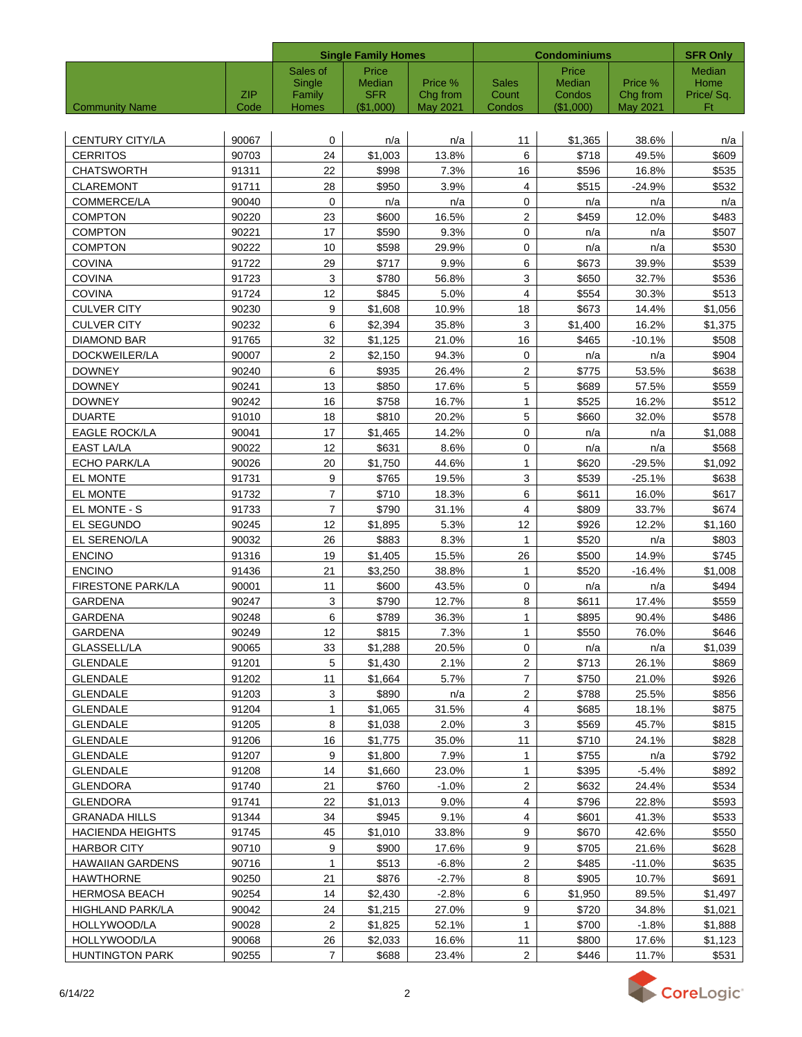|                          |             |                 | <b>Single Family Homes</b> |                      |                 | <b>Condominiums</b> |                             | <b>SFR Only</b> |
|--------------------------|-------------|-----------------|----------------------------|----------------------|-----------------|---------------------|-----------------------------|-----------------|
|                          |             | Sales of        | Price                      |                      |                 | Price               |                             | <b>Median</b>   |
|                          |             | Single          | Median                     | Price %              | <b>Sales</b>    | Median              | Price %                     | Home            |
| <b>Community Name</b>    | ZIP<br>Code | Family<br>Homes | <b>SFR</b><br>$(\$1,000)$  | Chg from<br>May 2021 | Count<br>Condos | Condos<br>(\$1,000) | Chg from<br><b>May 2021</b> | Price/Sq.<br>Ft |
|                          |             |                 |                            |                      |                 |                     |                             |                 |
| CENTURY CITY/LA          | 90067       | 0               | n/a                        | n/a                  | 11              | \$1,365             | 38.6%                       | n/a             |
| <b>CERRITOS</b>          | 90703       | 24              | \$1,003                    | 13.8%                | 6               | \$718               | 49.5%                       | \$609           |
| <b>CHATSWORTH</b>        | 91311       | 22              | \$998                      | 7.3%                 | 16              | \$596               | 16.8%                       | \$535           |
| <b>CLAREMONT</b>         | 91711       | 28              | \$950                      | 3.9%                 | 4               | \$515               | $-24.9%$                    | \$532           |
| <b>COMMERCE/LA</b>       | 90040       | 0               | n/a                        | n/a                  | $\mathbf 0$     | n/a                 | n/a                         | n/a             |
| <b>COMPTON</b>           | 90220       | 23              | \$600                      | 16.5%                | $\mathbf{2}$    | \$459               | 12.0%                       | \$483           |
| <b>COMPTON</b>           | 90221       | 17              | \$590                      | 9.3%                 | $\pmb{0}$       | n/a                 | n/a                         | \$507           |
| <b>COMPTON</b>           | 90222       | 10              | \$598                      | 29.9%                | 0               | n/a                 | n/a                         | \$530           |
| <b>COVINA</b>            | 91722       | 29              | \$717                      | 9.9%                 | 6               | \$673               | 39.9%                       | \$539           |
| <b>COVINA</b>            | 91723       | 3               | \$780                      | 56.8%                | 3               | \$650               | 32.7%                       | \$536           |
| <b>COVINA</b>            | 91724       | 12              | \$845                      | 5.0%                 | 4               | \$554               | 30.3%                       | \$513           |
| <b>CULVER CITY</b>       | 90230       | 9               | \$1,608                    | 10.9%                | 18              | \$673               | 14.4%                       | \$1,056         |
| <b>CULVER CITY</b>       | 90232       | 6               | \$2,394                    | 35.8%                | 3               | \$1,400             | 16.2%                       | \$1,375         |
| <b>DIAMOND BAR</b>       | 91765       | 32              | \$1,125                    | 21.0%                | 16              | \$465               | $-10.1%$                    | \$508           |
| DOCKWEILER/LA            | 90007       | $\overline{2}$  | \$2,150                    | 94.3%                | 0               | n/a                 | n/a                         | \$904           |
| <b>DOWNEY</b>            | 90240       | 6               | \$935                      | 26.4%                | $\mathbf{2}$    | \$775               | 53.5%                       | \$638           |
| <b>DOWNEY</b>            | 90241       | 13              | \$850                      | 17.6%                | 5               | \$689               | 57.5%                       | \$559           |
| <b>DOWNEY</b>            | 90242       | 16              | \$758                      | 16.7%                | $\mathbf{1}$    | \$525               | 16.2%                       | \$512           |
| <b>DUARTE</b>            | 91010       | 18              | \$810                      | 20.2%                | 5               | \$660               | 32.0%                       | \$578           |
| <b>EAGLE ROCK/LA</b>     | 90041       | 17              | \$1,465                    | 14.2%                | 0               | n/a                 | n/a                         | \$1,088         |
| <b>EAST LA/LA</b>        | 90022       | 12              | \$631                      | 8.6%                 | 0               | n/a                 | n/a                         | \$568           |
| ECHO PARK/LA             | 90026       | 20              | \$1,750                    | 44.6%                | $\mathbf{1}$    | \$620               | $-29.5%$                    | \$1,092         |
| EL MONTE                 | 91731       | 9               | \$765                      | 19.5%                | 3               | \$539               | $-25.1%$                    | \$638           |
| <b>EL MONTE</b>          | 91732       | $\overline{7}$  | \$710                      | 18.3%                | 6               | \$611               | 16.0%                       | \$617           |
| EL MONTE - S             | 91733       | $\overline{7}$  | \$790                      | 31.1%                | 4               | \$809               | 33.7%                       | \$674           |
| EL SEGUNDO               | 90245       | 12              | \$1,895                    | 5.3%                 | 12              | \$926               | 12.2%                       | \$1,160         |
| EL SERENO/LA             | 90032       | 26              | \$883                      | 8.3%                 | 1               | \$520               | n/a                         | \$803           |
| <b>ENCINO</b>            | 91316       | 19              | \$1,405                    | 15.5%                | 26              | \$500               | 14.9%                       | \$745           |
| <b>ENCINO</b>            | 91436       | 21              | \$3,250                    | 38.8%                | 1               | \$520               | $-16.4%$                    | \$1,008         |
| <b>FIRESTONE PARK/LA</b> | 90001       | 11              | \$600                      | 43.5%                | $\mathbf 0$     | n/a                 | n/a                         | \$494           |
| <b>GARDENA</b>           | 90247       | 3               | \$790                      | 12.7%                | 8               | \$611               | 17.4%                       | \$559           |
| <b>GARDENA</b>           | 90248       | 6               | \$789                      | 36.3%                | $\mathbf{1}$    | \$895               | 90.4%                       | \$486           |
| GARDENA                  | 90249       | 12              | \$815                      | 7.3%                 | 1               | \$550               | 76.0%                       | \$646           |
| GLASSELL/LA              | 90065       | 33              | \$1,288                    | 20.5%                | $\mathbf{0}$    | n/a                 | n/a                         | \$1,039         |
| <b>GLENDALE</b>          | 91201       | 5               | \$1,430                    | 2.1%                 | 2               | \$713               | 26.1%                       | \$869           |
| <b>GLENDALE</b>          | 91202       | 11              | \$1,664                    | $5.7\%$              | $\overline{7}$  | \$750               | 21.0%                       | \$926           |
| <b>GLENDALE</b>          | 91203       | 3               | \$890                      | n/a                  | $\overline{2}$  | \$788               | 25.5%                       | \$856           |
| <b>GLENDALE</b>          | 91204       | $\mathbf{1}$    | \$1,065                    | 31.5%                | $\overline{4}$  | \$685               | 18.1%                       | \$875           |
| <b>GLENDALE</b>          | 91205       | 8               | \$1,038                    | 2.0%                 | $\mathbf{3}$    | \$569               | 45.7%                       | \$815           |
| <b>GLENDALE</b>          | 91206       | 16              | \$1,775                    | 35.0%                | 11              | \$710               | 24.1%                       | \$828           |
| <b>GLENDALE</b>          | 91207       | 9               | \$1,800                    | 7.9%                 | 1               | \$755               | n/a                         | \$792           |
| <b>GLENDALE</b>          | 91208       | 14              | \$1,660                    | 23.0%                | 1               | \$395               | $-5.4%$                     | \$892           |
| GLENDORA                 | 91740       | 21              | \$760                      | $-1.0%$              | $\sqrt{2}$      | \$632               | 24.4%                       | \$534           |
| GLENDORA                 | 91741       | 22              | \$1,013                    | 9.0%                 | 4               | \$796               | 22.8%                       | \$593           |
| <b>GRANADA HILLS</b>     | 91344       | 34              | \$945                      | 9.1%                 | 4               | \$601               | 41.3%                       | \$533           |
| <b>HACIENDA HEIGHTS</b>  | 91745       | 45              | \$1,010                    | 33.8%                | 9               | \$670               | 42.6%                       | \$550           |
| <b>HARBOR CITY</b>       | 90710       | 9               | \$900                      | 17.6%                | 9               | \$705               | 21.6%                       | \$628           |
| <b>HAWAIIAN GARDENS</b>  | 90716       | 1               | \$513                      | $-6.8%$              | $\overline{2}$  | \$485               | $-11.0%$                    | \$635           |
| <b>HAWTHORNE</b>         | 90250       | 21              | \$876                      | $-2.7%$              | 8               | \$905               | 10.7%                       | \$691           |
| <b>HERMOSA BEACH</b>     | 90254       | 14              | \$2,430                    | $-2.8%$              | 6               | \$1,950             | 89.5%                       | \$1,497         |
| <b>HIGHLAND PARK/LA</b>  | 90042       | 24              | \$1,215                    | 27.0%                | 9               | \$720               | 34.8%                       | \$1,021         |
| HOLLYWOOD/LA             | 90028       | $\overline{2}$  | \$1,825                    | 52.1%                | $\mathbf{1}$    | \$700               | $-1.8%$                     | \$1,888         |
| HOLLYWOOD/LA             | 90068       | 26              | \$2,033                    | 16.6%                | 11              | \$800               | 17.6%                       | \$1,123         |
| <b>HUNTINGTON PARK</b>   | 90255       | $\overline{7}$  | \$688                      | 23.4%                | $\overline{2}$  | \$446               | 11.7%                       | \$531           |

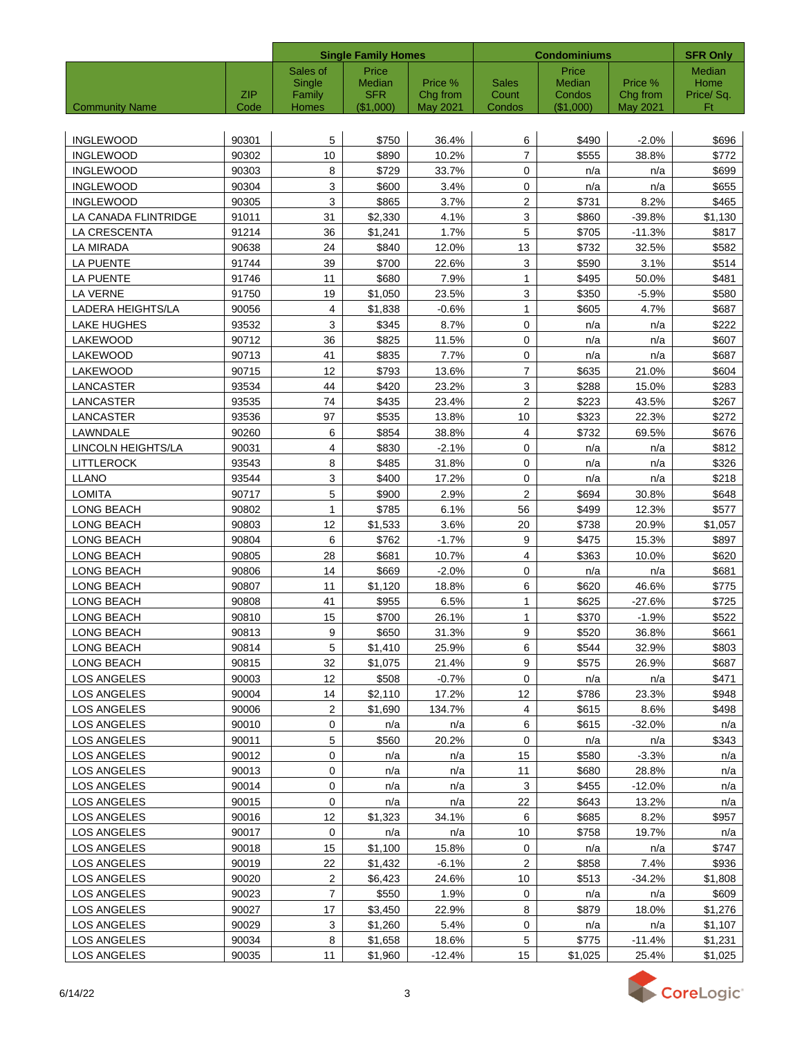|                       |                    |                 | <b>Single Family Homes</b> |                      |                         | <b>Condominiums</b> |                             | <b>SFR Only</b> |
|-----------------------|--------------------|-----------------|----------------------------|----------------------|-------------------------|---------------------|-----------------------------|-----------------|
|                       |                    | Sales of        | Price                      |                      |                         | Price               |                             | <b>Median</b>   |
|                       |                    | Single          | Median                     | Price %              | <b>Sales</b>            | Median              | Price %                     | Home            |
| <b>Community Name</b> | <b>ZIP</b><br>Code | Family<br>Homes | <b>SFR</b><br>(\$1,000)    | Chg from<br>May 2021 | Count<br>Condos         | Condos<br>(\$1,000) | Chg from<br><b>May 2021</b> | Price/Sq.<br>Ft |
|                       |                    |                 |                            |                      |                         |                     |                             |                 |
| <b>INGLEWOOD</b>      | 90301              | 5               | \$750                      | 36.4%                | 6                       | \$490               | $-2.0%$                     | \$696           |
| <b>INGLEWOOD</b>      | 90302              | 10              | \$890                      | 10.2%                | $\overline{7}$          | \$555               | 38.8%                       | \$772           |
| <b>INGLEWOOD</b>      | 90303              | 8               | \$729                      | 33.7%                | $\mathbf 0$             | n/a                 | n/a                         | \$699           |
| <b>INGLEWOOD</b>      | 90304              | 3               | \$600                      | 3.4%                 | $\mathbf 0$             | n/a                 | n/a                         | \$655           |
| INGLEWOOD             | 90305              | 3               | \$865                      | 3.7%                 | $\overline{\mathbf{c}}$ | \$731               | 8.2%                        | \$465           |
| LA CANADA FLINTRIDGE  | 91011              | 31              | \$2,330                    | 4.1%                 | 3                       | \$860               | $-39.8%$                    | \$1,130         |
| LA CRESCENTA          | 91214              | 36              | \$1,241                    | 1.7%                 | 5                       | \$705               | $-11.3%$                    | \$817           |
| LA MIRADA             | 90638              | 24              | \$840                      | 12.0%                | 13                      | \$732               | 32.5%                       | \$582           |
| LA PUENTE             | 91744              | 39              | \$700                      | 22.6%                | 3                       | \$590               | 3.1%                        | \$514           |
| LA PUENTE             | 91746              | 11              | \$680                      | 7.9%                 | $\mathbf{1}$            | \$495               | 50.0%                       | \$481           |
| <b>LA VERNE</b>       | 91750              | 19              | \$1,050                    | 23.5%                | 3                       | \$350               | $-5.9%$                     | \$580           |
| LADERA HEIGHTS/LA     | 90056              | 4               | \$1,838                    | $-0.6%$              | $\mathbf{1}$            | \$605               | 4.7%                        | \$687           |
| <b>LAKE HUGHES</b>    | 93532              | 3               | \$345                      | 8.7%                 | 0                       | n/a                 | n/a                         | \$222           |
| LAKEWOOD              | 90712              | 36              | \$825                      | 11.5%                | 0                       | n/a                 | n/a                         | \$607           |
| LAKEWOOD              | 90713              | 41              | \$835                      | 7.7%                 | 0                       | n/a                 | n/a                         | \$687           |
| LAKEWOOD              | 90715              | 12              | \$793                      | 13.6%                | $\overline{7}$          | \$635               | 21.0%                       | \$604           |
| LANCASTER             | 93534              | 44              | \$420                      | 23.2%                | 3                       | \$288               | 15.0%                       | \$283           |
| LANCASTER             | 93535              | 74              | \$435                      | 23.4%                | $\overline{\mathbf{c}}$ | \$223               | 43.5%                       | \$267           |
| LANCASTER             | 93536              | 97              | \$535                      | 13.8%                | 10                      | \$323               | 22.3%                       | \$272           |
| LAWNDALE              | 90260              | 6               | \$854                      | 38.8%                | 4                       | \$732               | 69.5%                       | \$676           |
| LINCOLN HEIGHTS/LA    | 90031              | 4               | \$830                      | $-2.1%$              | 0                       | n/a                 | n/a                         | \$812           |
| <b>LITTLEROCK</b>     | 93543              | 8               | \$485                      | 31.8%                | 0                       | n/a                 | n/a                         | \$326           |
| <b>LLANO</b>          | 93544              | 3               | \$400                      | 17.2%                | 0                       | n/a                 | n/a                         | \$218           |
| <b>LOMITA</b>         | 90717              | 5               | \$900                      | 2.9%                 | $\mathbf{2}$            | \$694               | 30.8%                       | \$648           |
| LONG BEACH            | 90802              | $\mathbf{1}$    | \$785                      | 6.1%                 | 56                      | \$499               | 12.3%                       | \$577           |
| LONG BEACH            | 90803              | 12              | \$1,533                    | 3.6%                 | 20                      | \$738               | 20.9%                       | \$1,057         |
| LONG BEACH            | 90804              | 6               | \$762                      | $-1.7%$              | 9                       | \$475               | 15.3%                       | \$897           |
| LONG BEACH            | 90805              | 28              | \$681                      | 10.7%                | 4                       | \$363               | 10.0%                       | \$620           |
| LONG BEACH            | 90806              | 14              | \$669                      | $-2.0%$              | 0                       | n/a                 | n/a                         | \$681           |
| LONG BEACH            | 90807              | 11              | \$1,120                    | 18.8%                | 6                       | \$620               | 46.6%                       | \$775           |
| LONG BEACH            | 90808              | 41              | \$955                      | 6.5%                 | $\mathbf{1}$            | \$625               | $-27.6%$                    | \$725           |
| LONG BEACH            | 90810              | 15              | \$700                      | 26.1%                | $\mathbf{1}$            | \$370               | $-1.9%$                     | \$522           |
| LONG BEACH            | 90813              | 9               | \$650                      | 31.3%                | 9                       | \$520               | 36.8%                       | \$661           |
| LONG BEACH            | 90814              | 5               | \$1,410                    | 25.9%                | 6                       | \$544               | 32.9%                       | \$803           |
| LONG BEACH            | 90815              | 32              | \$1,075                    | 21.4%                | 9                       | \$575               | 26.9%                       | \$687           |
| LOS ANGELES           | 90003              | 12              | \$508                      | $-0.7%$              | $\mathbf 0$             | n/a                 | n/a                         | \$471           |
| LOS ANGELES           | 90004              | 14              | \$2,110                    | 17.2%                | 12                      | \$786               | 23.3%                       | \$948           |
| LOS ANGELES           | 90006              | $\overline{2}$  | \$1,690                    | 134.7%               | $\overline{4}$          | \$615               | 8.6%                        | \$498           |
| LOS ANGELES           | 90010              | 0               | n/a                        | n/a                  | 6                       | \$615               | $-32.0%$                    | n/a             |
| LOS ANGELES           | 90011              | 5               | \$560                      | 20.2%                | 0                       | n/a                 | n/a                         | \$343           |
| LOS ANGELES           | 90012              | 0               | n/a                        | n/a                  | 15                      | \$580               | $-3.3%$                     | n/a             |
| LOS ANGELES           | 90013              | 0               | n/a                        | n/a                  | 11                      | \$680               | 28.8%                       | n/a             |
| LOS ANGELES           | 90014              | 0               | n/a                        | n/a                  | 3                       | \$455               | $-12.0%$                    | n/a             |
| LOS ANGELES           | 90015              | $\mathbf 0$     | n/a                        | n/a                  | 22                      | \$643               | 13.2%                       | n/a             |
| LOS ANGELES           | 90016              | 12              | \$1,323                    | 34.1%                | 6                       | \$685               | 8.2%                        | \$957           |
| LOS ANGELES           | 90017              | 0               | n/a                        | n/a                  | 10                      | \$758               | 19.7%                       | n/a             |
| LOS ANGELES           | 90018              | 15              | \$1,100                    | 15.8%                | $\mathbf 0$             | n/a                 | n/a                         | \$747           |
| LOS ANGELES           | 90019              | 22              | \$1,432                    | $-6.1%$              | $\sqrt{2}$              | \$858               | 7.4%                        | \$936           |
| LOS ANGELES           | 90020              | $\overline{2}$  | \$6,423                    | 24.6%                | 10                      | \$513               | $-34.2%$                    | \$1,808         |
| LOS ANGELES           | 90023              | $\overline{7}$  | \$550                      | 1.9%                 | 0                       | n/a                 | n/a                         | \$609           |
| LOS ANGELES           | 90027              | 17              | \$3,450                    | 22.9%                | 8                       | \$879               | 18.0%                       | \$1,276         |
| LOS ANGELES           | 90029              | 3               | \$1,260                    | 5.4%                 | 0                       | n/a                 | n/a                         | \$1,107         |
| LOS ANGELES           | 90034              | 8               | \$1,658                    | 18.6%                | 5                       | \$775               | -11.4%                      | \$1,231         |
| LOS ANGELES           | 90035              | 11              | \$1,960                    | $-12.4%$             | 15                      | \$1,025             | 25.4%                       | \$1,025         |

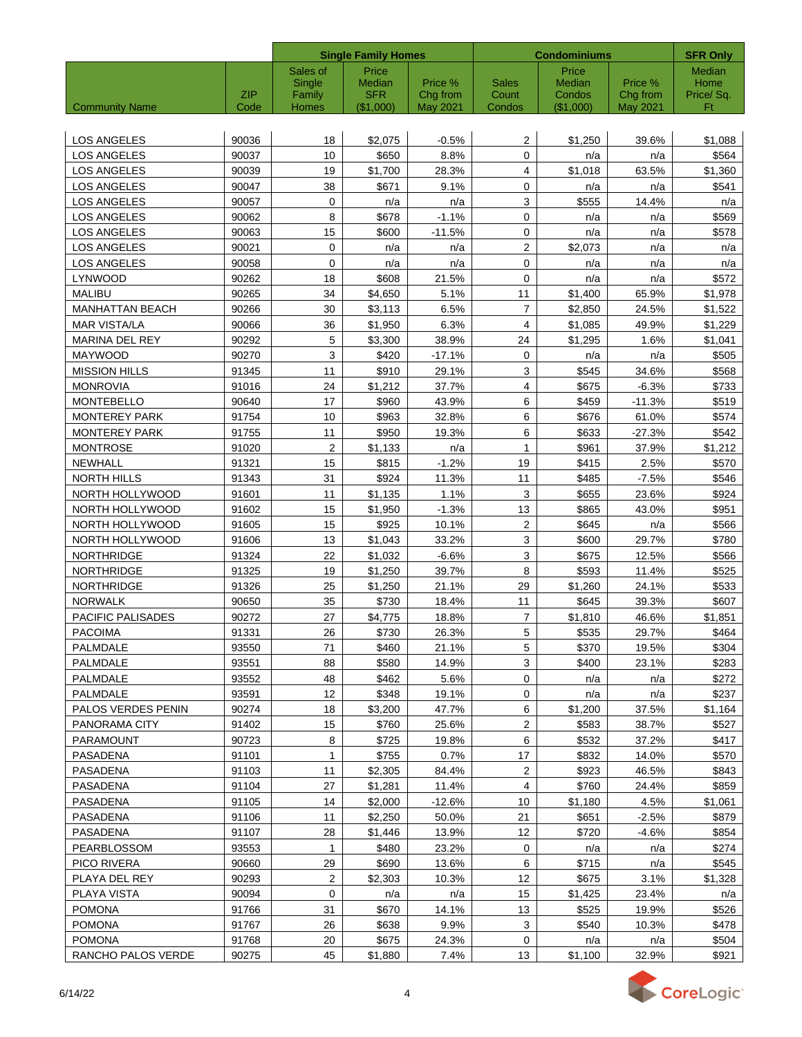|                        |            |                  | <b>Single Family Homes</b> |                     |                       | <b>Condominiums</b> | <b>SFR Only</b>     |                   |
|------------------------|------------|------------------|----------------------------|---------------------|-----------------------|---------------------|---------------------|-------------------|
|                        |            | Sales of         | Price                      |                     |                       | Price               |                     | Median            |
|                        | <b>ZIP</b> | Single<br>Family | Median<br><b>SFR</b>       | Price %<br>Chg from | <b>Sales</b><br>Count | Median<br>Condos    | Price %<br>Chg from | Home<br>Price/Sq. |
| <b>Community Name</b>  | Code       | Homes            | (\$1,000)                  | May 2021            | Condos                | (\$1,000)           | May 2021            | Ft                |
|                        |            |                  |                            |                     |                       |                     |                     |                   |
| <b>LOS ANGELES</b>     | 90036      | 18               | \$2,075                    | $-0.5%$             | 2                     | \$1,250             | 39.6%               | \$1,088           |
| <b>LOS ANGELES</b>     | 90037      | 10               | \$650                      | 8.8%                | 0                     | n/a                 | n/a                 | \$564             |
| <b>LOS ANGELES</b>     | 90039      | 19               | \$1,700                    | 28.3%               | $\overline{4}$        | \$1,018             | 63.5%               | \$1,360           |
| <b>LOS ANGELES</b>     | 90047      | 38               | \$671                      | 9.1%                | 0                     | n/a                 | n/a                 | \$541             |
| <b>LOS ANGELES</b>     | 90057      | 0                | n/a                        | n/a                 | 3                     | \$555               | 14.4%               | n/a               |
| <b>LOS ANGELES</b>     | 90062      | 8                | \$678                      | $-1.1%$             | 0                     | n/a                 | n/a                 | \$569             |
| <b>LOS ANGELES</b>     | 90063      | 15               | \$600                      | $-11.5%$            | 0                     | n/a                 | n/a                 | \$578             |
| LOS ANGELES            | 90021      | $\mathbf 0$      | n/a                        | n/a                 | $\overline{c}$        | \$2,073             | n/a                 | n/a               |
| LOS ANGELES            | 90058      | 0                | n/a                        | n/a                 | 0                     | n/a                 | n/a                 | n/a               |
| <b>LYNWOOD</b>         | 90262      | 18               | \$608                      | 21.5%               | 0                     | n/a                 | n/a                 | \$572             |
| <b>MALIBU</b>          | 90265      | 34               | \$4,650                    | 5.1%                | 11                    | \$1,400             | 65.9%               | \$1,978           |
| <b>MANHATTAN BEACH</b> | 90266      | 30               | \$3,113                    | 6.5%                | 7                     | \$2,850             | 24.5%               | \$1,522           |
| <b>MAR VISTA/LA</b>    | 90066      | 36               | \$1,950                    | 6.3%                | 4                     | \$1,085             | 49.9%               | \$1,229           |
| <b>MARINA DEL REY</b>  | 90292      | 5                | \$3,300                    | 38.9%               | 24                    | \$1,295             | 1.6%                | \$1,041           |
| <b>MAYWOOD</b>         | 90270      | 3                | \$420                      | $-17.1%$            | 0                     | n/a                 | n/a                 | \$505             |
| <b>MISSION HILLS</b>   | 91345      | 11               | \$910                      | 29.1%               | 3                     | \$545               | 34.6%               | \$568             |
| <b>MONROVIA</b>        | 91016      | 24               | \$1,212                    | 37.7%               | 4                     | \$675               | $-6.3%$             | \$733             |
| <b>MONTEBELLO</b>      | 90640      | 17               | \$960                      | 43.9%               | 6                     | \$459               | $-11.3%$            | \$519             |
| <b>MONTEREY PARK</b>   | 91754      | 10               | \$963                      | 32.8%               | 6                     | \$676               | 61.0%               | \$574             |
| <b>MONTEREY PARK</b>   | 91755      | 11               | \$950                      | 19.3%               | 6                     | \$633               | $-27.3%$            | \$542             |
| <b>MONTROSE</b>        | 91020      | 2                | \$1,133                    | n/a                 | $\mathbf{1}$          | \$961               | 37.9%               | \$1,212           |
| NEWHALL                | 91321      | 15               | \$815                      | $-1.2%$             | 19                    | \$415               | 2.5%                | \$570             |
| <b>NORTH HILLS</b>     | 91343      | 31               | \$924                      | 11.3%               | 11                    | \$485               | $-7.5%$             | \$546             |
| NORTH HOLLYWOOD        | 91601      | 11               | \$1,135                    | 1.1%                | 3                     | \$655               | 23.6%               | \$924             |
| NORTH HOLLYWOOD        | 91602      | 15               | \$1,950                    | $-1.3%$             | 13                    | \$865               | 43.0%               | \$951             |
| NORTH HOLLYWOOD        | 91605      | 15               | \$925                      | 10.1%               | 2                     | \$645               | n/a                 | \$566             |
| NORTH HOLLYWOOD        | 91606      | 13               | \$1,043                    | 33.2%               | 3                     | \$600               | 29.7%               | \$780             |
| <b>NORTHRIDGE</b>      | 91324      | 22               | \$1,032                    | $-6.6%$             | 3                     | \$675               | 12.5%               | \$566             |
| <b>NORTHRIDGE</b>      | 91325      | 19               | \$1,250                    | 39.7%               | 8                     | \$593               | 11.4%               | \$525             |
| <b>NORTHRIDGE</b>      | 91326      | 25               | \$1,250                    | 21.1%               | 29                    | \$1,260             | 24.1%               | \$533             |
| <b>NORWALK</b>         | 90650      | 35               | \$730                      | 18.4%               | 11                    | \$645               | 39.3%               | \$607             |
| PACIFIC PALISADES      | 90272      | 27               | \$4,775                    | 18.8%               | $\overline{7}$        | \$1,810             | 46.6%               | \$1,851           |
| <b>PACOIMA</b>         | 91331      | 26               | \$730                      | 26.3%               | $\overline{5}$        | \$535               | 29.7%               | \$464             |
| PALMDALE               | 93550      | 71               | \$460                      | 21.1%               | 5                     | \$370               | 19.5%               | \$304             |
| PALMDALE               | 93551      | 88               | \$580                      | 14.9%               | 3                     | \$400               | 23.1%               | \$283             |
| PALMDALE               | 93552      | 48               | \$462                      | 5.6%                | $\mathbf 0$           | n/a                 | n/a                 | \$272             |
| PALMDALE               | 93591      | 12               | \$348                      | 19.1%               | 0                     | n/a                 | n/a                 | \$237             |
| PALOS VERDES PENIN     | 90274      | 18               | \$3,200                    | 47.7%               | 6                     | \$1,200             | 37.5%               | \$1,164           |
| PANORAMA CITY          | 91402      | 15               | \$760                      | 25.6%               | $\mathbf{2}$          | \$583               | 38.7%               | \$527             |
| <b>PARAMOUNT</b>       | 90723      | 8                | \$725                      | 19.8%               | 6                     | \$532               | 37.2%               | \$417             |
| PASADENA               | 91101      | 1                | \$755                      | 0.7%                | 17                    | \$832               | 14.0%               | \$570             |
| PASADENA               | 91103      | 11               | \$2,305                    | 84.4%               | 2                     | \$923               | 46.5%               | \$843             |
| PASADENA               | 91104      | 27               | \$1,281                    | 11.4%               | 4                     | \$760               | 24.4%               | \$859             |
| PASADENA               | 91105      | 14               | \$2,000                    | $-12.6%$            | 10                    | \$1,180             | 4.5%                | \$1,061           |
| PASADENA               | 91106      | 11               | \$2,250                    | 50.0%               | 21                    | \$651               | $-2.5%$             | \$879             |
| PASADENA               | 91107      | 28               | \$1,446                    | 13.9%               | 12                    | \$720               | $-4.6%$             | \$854             |
| PEARBLOSSOM            | 93553      | $\mathbf{1}$     | \$480                      | 23.2%               | $\mathbf 0$           | n/a                 | n/a                 | \$274             |
| PICO RIVERA            | 90660      | 29               | \$690                      | 13.6%               | 6                     | \$715               | n/a                 | \$545             |
| PLAYA DEL REY          | 90293      | $\overline{2}$   | \$2,303                    | 10.3%               | 12                    | \$675               | 3.1%                | \$1,328           |
| PLAYA VISTA            | 90094      | 0                | n/a                        | n/a                 | 15                    | \$1,425             | 23.4%               | n/a               |
| <b>POMONA</b>          | 91766      | 31               | \$670                      | 14.1%               | 13                    | \$525               | 19.9%               | \$526             |
| <b>POMONA</b>          | 91767      | 26               | \$638                      | 9.9%                | 3                     | \$540               | 10.3%               | \$478             |
| <b>POMONA</b>          | 91768      | 20               | \$675                      | 24.3%               | $\mathbf 0$           | n/a                 | n/a                 | \$504             |
| RANCHO PALOS VERDE     | 90275      | 45               | \$1,880                    | 7.4%                | 13                    | \$1,100             | 32.9%               | \$921             |

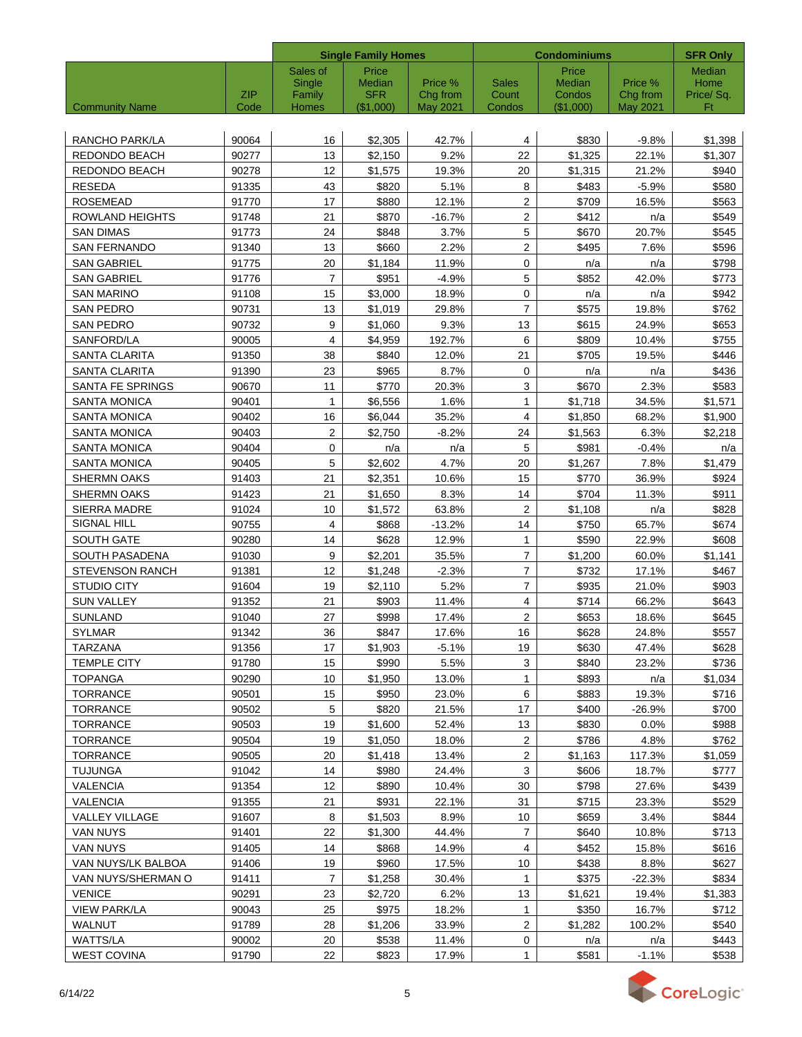|                               |                    |                 | <b>Single Family Homes</b> |                             |                         | <b>Condominiums</b> |                             | <b>SFR Only</b> |
|-------------------------------|--------------------|-----------------|----------------------------|-----------------------------|-------------------------|---------------------|-----------------------------|-----------------|
|                               |                    | Sales of        | Price                      |                             |                         | Price               |                             | <b>Median</b>   |
|                               |                    | Single          | Median                     | Price %                     | Sales                   | Median              | Price %                     | Home            |
| <b>Community Name</b>         | <b>ZIP</b><br>Code | Family<br>Homes | <b>SFR</b><br>(\$1,000)    | Chg from<br><b>May 2021</b> | Count<br>Condos         | Condos<br>(\$1,000) | Chg from<br><b>May 2021</b> | Price/Sq.<br>Ft |
|                               |                    |                 |                            |                             |                         |                     |                             |                 |
| RANCHO PARK/LA                | 90064              | 16              | \$2,305                    | 42.7%                       | 4                       | \$830               | $-9.8%$                     | \$1,398         |
| REDONDO BEACH                 | 90277              | 13              | \$2,150                    | 9.2%                        | 22                      | \$1,325             | 22.1%                       | \$1,307         |
| REDONDO BEACH                 | 90278              | 12              | \$1,575                    | 19.3%                       | 20                      | \$1,315             | 21.2%                       | \$940           |
| <b>RESEDA</b>                 | 91335              | 43              | \$820                      | 5.1%                        | 8                       | \$483               | $-5.9%$                     | \$580           |
| <b>ROSEMEAD</b>               | 91770              | 17              | \$880                      | 12.1%                       | $\overline{\mathbf{c}}$ | \$709               | 16.5%                       | \$563           |
| <b>ROWLAND HEIGHTS</b>        | 91748              | 21              | \$870                      | $-16.7%$                    | $\mathbf{2}$            | \$412               | n/a                         | \$549           |
| <b>SAN DIMAS</b>              | 91773              | 24              | \$848                      | 3.7%                        | 5                       | \$670               | 20.7%                       | \$545           |
| <b>SAN FERNANDO</b>           | 91340              | 13              | \$660                      | 2.2%                        | $\overline{2}$          | \$495               | 7.6%                        | \$596           |
| <b>SAN GABRIEL</b>            | 91775              | 20              | \$1,184                    | 11.9%                       | 0                       | n/a                 | n/a                         | \$798           |
| <b>SAN GABRIEL</b>            | 91776              | $\overline{7}$  | \$951                      | $-4.9%$                     | 5                       | \$852               | 42.0%                       | \$773           |
| <b>SAN MARINO</b>             | 91108              | 15              | \$3,000                    | 18.9%                       | $\mathbf 0$             | n/a                 | n/a                         | \$942           |
| SAN PEDRO                     | 90731              | 13              | \$1,019                    | 29.8%                       | $\overline{7}$          | \$575               | 19.8%                       | \$762           |
| <b>SAN PEDRO</b>              | 90732              | 9               | \$1,060                    | 9.3%                        | 13                      | \$615               | 24.9%                       | \$653           |
| SANFORD/LA                    | 90005              | $\overline{4}$  | \$4,959                    | 192.7%                      | 6                       | \$809               | 10.4%                       | \$755           |
| SANTA CLARITA                 | 91350              | 38              | \$840                      | 12.0%                       | 21                      | \$705               | 19.5%                       | \$446           |
| <b>SANTA CLARITA</b>          | 91390              | 23              | \$965                      | 8.7%                        | 0                       | n/a                 | n/a                         | \$436           |
| SANTA FE SPRINGS              | 90670              | 11              | \$770                      | 20.3%                       | 3                       | \$670               | 2.3%                        | \$583           |
| <b>SANTA MONICA</b>           | 90401              | 1               | \$6,556                    | 1.6%                        | $\mathbf{1}$            | \$1,718             | 34.5%                       | \$1,571         |
| <b>SANTA MONICA</b>           | 90402              | 16              | \$6,044                    | 35.2%                       | 4                       | \$1,850             | 68.2%                       | \$1,900         |
| <b>SANTA MONICA</b>           | 90403              | 2               | \$2,750                    | $-8.2%$                     | 24                      | \$1,563             | 6.3%                        | \$2,218         |
| <b>SANTA MONICA</b>           | 90404              | 0               | n/a                        | n/a                         | 5                       | \$981               | $-0.4%$                     | n/a             |
| <b>SANTA MONICA</b>           | 90405              | 5               | \$2,602                    | 4.7%                        | 20                      | \$1,267             | 7.8%                        | \$1,479         |
| <b>SHERMN OAKS</b>            | 91403              | 21              | \$2,351                    | 10.6%                       | 15                      | \$770               | 36.9%                       | \$924           |
| <b>SHERMN OAKS</b>            | 91423              | 21              | \$1,650                    | 8.3%                        | 14                      | \$704               | 11.3%                       | \$911           |
| SIERRA MADRE                  | 91024              | 10              | \$1,572                    | 63.8%                       | $\overline{2}$          | \$1,108             | n/a                         | \$828           |
| SIGNAL HILL                   | 90755              | 4               | \$868                      | $-13.2%$                    | 14                      | \$750               | 65.7%                       | \$674           |
| SOUTH GATE                    | 90280              | 14              | \$628                      | 12.9%                       | 1                       | \$590               | 22.9%                       | \$608           |
| SOUTH PASADENA                | 91030              | 9               | \$2,201                    | 35.5%                       | 7                       | \$1,200             | 60.0%                       | \$1,141         |
| <b>STEVENSON RANCH</b>        | 91381              | 12              | \$1,248                    | $-2.3%$                     | $\overline{7}$          | \$732               | 17.1%                       | \$467           |
| <b>STUDIO CITY</b>            | 91604              | 19              | \$2,110                    | 5.2%                        | $\overline{7}$          | \$935               | 21.0%                       | \$903           |
| <b>SUN VALLEY</b>             | 91352              | 21              | \$903                      | 11.4%                       | 4                       | \$714               | 66.2%                       | \$643           |
| <b>SUNLAND</b>                | 91040              | 27              | \$998                      | 17.4%                       | $\boldsymbol{2}$        | \$653               | 18.6%                       | \$645           |
| SYLMAR                        | 91342              | 36              | \$847                      | 17.6%                       | 16                      | \$628               | 24.8%                       | \$557           |
| <b>TARZANA</b>                | 91356              | 17              | \$1,903                    | $-5.1%$                     | 19                      | \$630               | 47.4%                       | \$628           |
| TEMPLE CITY                   | 91780              | 15              | \$990                      | 5.5%                        | 3                       | \$840               | 23.2%                       | \$736           |
| <b>TOPANGA</b>                | 90290              | 10              | \$1,950                    | 13.0%                       | $\mathbf{1}$            | \$893               | n/a                         | \$1,034         |
| <b>TORRANCE</b>               | 90501              | 15              | \$950                      | 23.0%                       | 6                       | \$883               | 19.3%                       | \$716           |
| <b>TORRANCE</b>               | 90502              | 5               | \$820                      | 21.5%                       | 17                      | \$400               | $-26.9%$                    | \$700           |
| <b>TORRANCE</b>               | 90503              | 19              | \$1,600                    | 52.4%                       | 13                      | \$830               | 0.0%                        | \$988           |
| <b>TORRANCE</b>               | 90504              | 19              | \$1,050                    | 18.0%                       | $\mathbf{2}$            | \$786               | 4.8%                        | \$762           |
| TORRANCE                      | 90505              | 20              | \$1,418                    | 13.4%                       | 2                       | \$1,163             | 117.3%                      | \$1,059         |
| <b>TUJUNGA</b>                | 91042              | 14              | \$980                      | 24.4%                       | 3                       | \$606               | 18.7%                       | \$777           |
| <b>VALENCIA</b>               | 91354              | 12              | \$890                      | 10.4%                       | 30                      | \$798               | 27.6%                       | \$439           |
| <b>VALENCIA</b>               | 91355              | 21              | \$931                      | 22.1%                       | 31                      | \$715               | 23.3%                       | \$529           |
| VALLEY VILLAGE                | 91607              | 8               | \$1,503                    | 8.9%                        | 10                      | \$659               | 3.4%                        | \$844           |
| VAN NUYS                      | 91401              | 22              | \$1,300                    | 44.4%                       | $\overline{7}$          | \$640               | 10.8%                       | \$713           |
| VAN NUYS                      | 91405              | 14              | \$868                      | 14.9%                       | 4                       | \$452               | 15.8%                       | \$616           |
| VAN NUYS/LK BALBOA            | 91406              | 19              | \$960                      | 17.5%                       | 10                      | \$438               | 8.8%                        | \$627           |
| VAN NUYS/SHERMAN O            | 91411              | $\overline{7}$  | \$1,258                    | 30.4%                       | $\mathbf{1}$            | \$375               | $-22.3%$                    | \$834           |
| <b>VENICE</b>                 | 90291              | 23              | \$2,720                    | 6.2%                        | 13                      | \$1,621             | 19.4%                       | \$1,383         |
| <b>VIEW PARK/LA</b><br>WALNUT | 90043<br>91789     | 25<br>28        | \$975<br>\$1,206           | 18.2%<br>33.9%              | 1<br>$\overline{2}$     | \$350<br>\$1,282    | 16.7%<br>100.2%             | \$712<br>\$540  |
| <b>WATTS/LA</b>               | 90002              | 20              | \$538                      | 11.4%                       | 0                       | n/a                 | n/a                         | \$443           |
| <b>WEST COVINA</b>            | 91790              | 22              | \$823                      | 17.9%                       | $\mathbf{1}$            | \$581               | $-1.1%$                     | \$538           |
|                               |                    |                 |                            |                             |                         |                     |                             |                 |

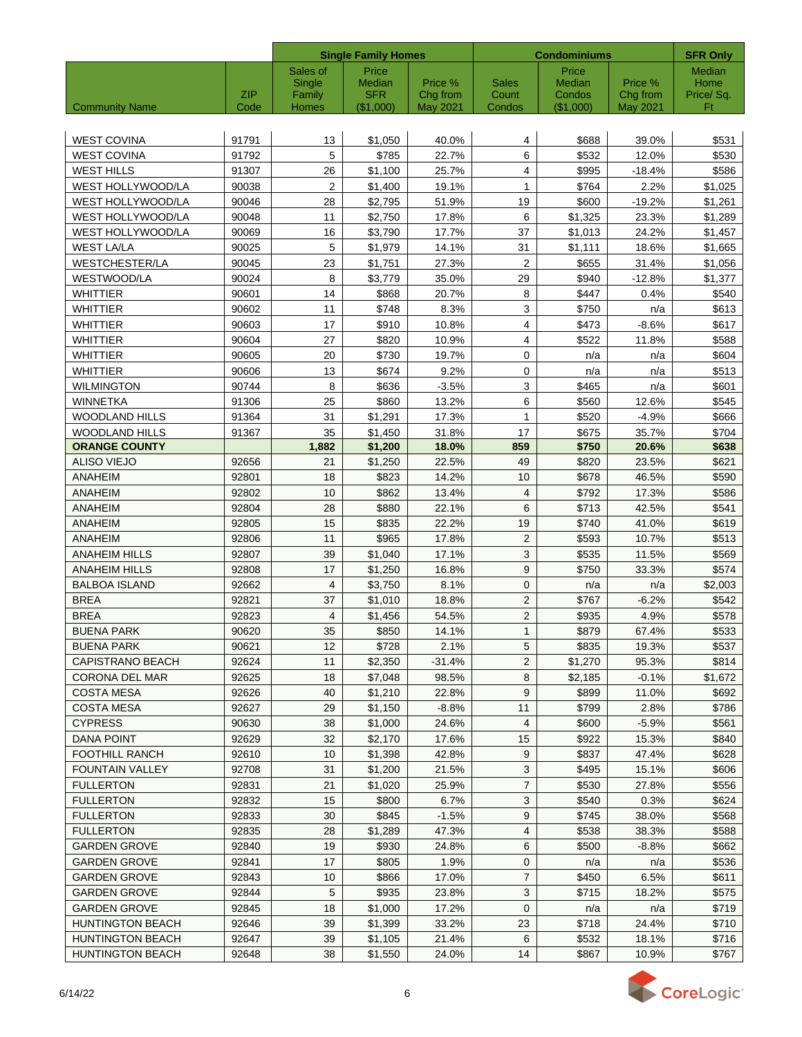|                         |            | <b>Single Family Homes</b> |                      |                     | <b>Condominiums</b>   | <b>SFR Only</b>         |                     |                   |
|-------------------------|------------|----------------------------|----------------------|---------------------|-----------------------|-------------------------|---------------------|-------------------|
|                         |            | Sales of                   | Price                |                     |                       | Price                   |                     | <b>Median</b>     |
|                         | <b>ZIP</b> | Single                     | Median<br><b>SFR</b> | Price %<br>Chg from | <b>Sales</b><br>Count | <b>Median</b><br>Condos | Price %<br>Chg from | Home<br>Price/Sq. |
| <b>Community Name</b>   | Code       | Family<br>Homes            | (\$1,000)            | <b>May 2021</b>     | Condos                | $(\$1,000)$             | <b>May 2021</b>     | Ft                |
|                         |            |                            |                      |                     |                       |                         |                     |                   |
| <b>WEST COVINA</b>      | 91791      | 13                         | \$1,050              | 40.0%               | 4                     | \$688                   | 39.0%               | \$531             |
| WEST COVINA             | 91792      | 5                          | \$785                | 22.7%               | 6                     | \$532                   | 12.0%               | \$530             |
| WEST HILLS              | 91307      | 26                         | \$1,100              | 25.7%               | 4                     | \$995                   | $-18.4%$            | \$586             |
| WEST HOLLYWOOD/LA       | 90038      | $\overline{c}$             | \$1,400              | 19.1%               | $\mathbf{1}$          | \$764                   | 2.2%                | \$1,025           |
| WEST HOLLYWOOD/LA       | 90046      | 28                         | \$2,795              | 51.9%               | 19                    | \$600                   | $-19.2%$            | \$1,261           |
| WEST HOLLYWOOD/LA       | 90048      | 11                         | \$2,750              | 17.8%               | 6                     | \$1,325                 | 23.3%               | \$1,289           |
| WEST HOLLYWOOD/LA       | 90069      | 16                         | \$3,790              | 17.7%               | 37                    | \$1,013                 | 24.2%               | \$1,457           |
| <b>WEST LA/LA</b>       | 90025      | 5                          | \$1,979              | 14.1%               | 31                    | \$1,111                 | 18.6%               | \$1,665           |
| WESTCHESTER/LA          | 90045      | 23                         | \$1,751              | 27.3%               | $\overline{2}$        | \$655                   | 31.4%               | \$1,056           |
| WESTWOOD/LA             | 90024      | 8                          | \$3,779              | 35.0%               | 29                    | \$940                   | $-12.8%$            | \$1,377           |
| <b>WHITTIER</b>         | 90601      | 14                         | \$868                | 20.7%               | 8                     | \$447                   | 0.4%                | \$540             |
| <b>WHITTIER</b>         | 90602      | 11                         | \$748                | 8.3%                | 3                     | \$750                   | n/a                 | \$613             |
| WHITTIER                | 90603      | 17                         | \$910                | 10.8%               | $\overline{4}$        | \$473                   | $-8.6%$             | \$617             |
| WHITTIER                | 90604      | 27                         | \$820                | 10.9%               | 4                     | \$522                   | 11.8%               | \$588             |
| WHITTIER                | 90605      | 20                         | \$730                | 19.7%               | $\mathbf 0$           | n/a                     | n/a                 | \$604             |
| WHITTIER                | 90606      | 13                         | \$674                | 9.2%                | $\pmb{0}$             | n/a                     | n/a                 | \$513             |
| <b>WILMINGTON</b>       | 90744      | 8                          | \$636                | $-3.5%$             | 3                     | \$465                   | n/a                 | \$601             |
| <b>WINNETKA</b>         | 91306      | 25                         | \$860                | 13.2%               | 6                     | \$560                   | 12.6%               | \$545             |
| <b>WOODLAND HILLS</b>   | 91364      | 31                         | \$1,291              | 17.3%               | 1                     | \$520                   | $-4.9%$             | \$666             |
| <b>WOODLAND HILLS</b>   | 91367      | 35                         | \$1,450              | 31.8%               | 17                    | \$675                   | 35.7%               | \$704             |
| <b>ORANGE COUNTY</b>    |            | 1,882                      | \$1,200              | 18.0%               | 859                   | \$750                   | 20.6%               | \$638             |
| <b>ALISO VIEJO</b>      | 92656      | 21                         | \$1,250              | 22.5%               | 49                    | \$820                   | 23.5%               | \$621             |
| ANAHEIM                 | 92801      | 18                         | \$823                | 14.2%               | 10                    | \$678                   | 46.5%               | \$590             |
| ANAHEIM                 | 92802      | 10                         | \$862                | 13.4%               | 4                     | \$792                   | 17.3%               | \$586             |
| <b>ANAHEIM</b>          | 92804      | 28                         | \$880                | 22.1%               | 6                     | \$713                   | 42.5%               | \$541             |
| ANAHEIM                 | 92805      | 15                         | \$835                | 22.2%               | 19                    | \$740                   | 41.0%               | \$619             |
| <b>ANAHEIM</b>          | 92806      | 11                         | \$965                | 17.8%               | $\overline{2}$        | \$593                   | 10.7%               | \$513             |
| <b>ANAHEIM HILLS</b>    | 92807      | 39                         | \$1,040              | 17.1%               | $\mathbf{3}$          | \$535                   | 11.5%               | \$569             |
| <b>ANAHEIM HILLS</b>    | 92808      | 17                         | \$1,250              | 16.8%               | 9                     | \$750                   | 33.3%               | \$574             |
| <b>BALBOA ISLAND</b>    | 92662      | $\overline{4}$             | \$3,750              | 8.1%                | $\mathbf{0}$          | n/a                     | n/a                 | \$2,003           |
| <b>BREA</b>             | 92821      | 37                         | \$1.010              | 18.8%               | $\overline{2}$        | \$767                   | $-6.2%$             | \$542             |
| <b>BREA</b>             | 92823      | 4                          | \$1,456              | 54.5%               | $\mathbf{2}$          | \$935                   | 4.9%                | \$578             |
| <b>BUENA PARK</b>       | 90620      | $35\,$                     | \$850                | 14.1%               | $\mathbf{1}$          | \$879                   | 67.4%               | \$533             |
| BUENA PARK              | 90621      | 12                         | \$728                | 2.1%                | 5                     | \$835                   | 19.3%               | \$537             |
| CAPISTRANO BEACH        | 92624      | 11                         | \$2,350              | -31.4%              | 2                     | \$1,270                 | 95.3%               | \$814             |
| <b>CORONA DEL MAR</b>   | 92625      | 18                         | \$7,048              | 98.5%               | 8                     | \$2,185                 | $-0.1%$             | \$1,672           |
| <b>COSTA MESA</b>       | 92626      | 40                         | \$1,210              | 22.8%               | 9                     | \$899                   | 11.0%               | \$692             |
| <b>COSTA MESA</b>       | 92627      | 29                         | \$1,150              | $-8.8%$             | 11                    | \$799                   | 2.8%                | \$786             |
| <b>CYPRESS</b>          | 90630      | 38                         | \$1,000              | 24.6%               | 4                     | \$600                   | $-5.9%$             | \$561             |
| <b>DANA POINT</b>       | 92629      | 32                         | \$2,170              | 17.6%               | 15                    | \$922                   | 15.3%               | \$840             |
| <b>FOOTHILL RANCH</b>   | 92610      | 10                         | \$1,398              | 42.8%               | 9                     | \$837                   | 47.4%               | \$628             |
| <b>FOUNTAIN VALLEY</b>  | 92708      | 31                         | \$1,200              | 21.5%               | 3                     | \$495                   | 15.1%               | \$606             |
| <b>FULLERTON</b>        | 92831      | 21                         | \$1,020              | 25.9%               | $\overline{7}$        | \$530                   | 27.8%               | \$556             |
| <b>FULLERTON</b>        | 92832      | 15                         | \$800                | 6.7%                | 3                     | \$540                   | 0.3%                | \$624             |
| <b>FULLERTON</b>        | 92833      | 30                         | \$845                | $-1.5%$             | 9                     | \$745                   | 38.0%               | \$568             |
| <b>FULLERTON</b>        | 92835      | 28                         | \$1,289              | 47.3%               | 4                     | \$538                   | 38.3%               | \$588             |
| <b>GARDEN GROVE</b>     | 92840      | 19                         | \$930                | 24.8%               | 6                     | \$500                   | $-8.8\%$            | \$662             |
| GARDEN GROVE            | 92841      | 17                         | \$805                | 1.9%                | 0                     | n/a                     | n/a                 | \$536             |
| <b>GARDEN GROVE</b>     | 92843      | 10                         | \$866                | 17.0%               | $\overline{7}$        | \$450                   | 6.5%                | \$611             |
| <b>GARDEN GROVE</b>     | 92844      | 5                          | \$935                | 23.8%               | $\mathbf{3}$          | \$715                   | 18.2%               | \$575             |
| <b>GARDEN GROVE</b>     | 92845      | 18                         | \$1,000              | 17.2%               | 0                     | n/a                     | n/a                 | \$719             |
| <b>HUNTINGTON BEACH</b> | 92646      | 39                         | \$1,399              | 33.2%               | 23                    | \$718                   | 24.4%               | \$710             |
| <b>HUNTINGTON BEACH</b> | 92647      | 39                         | \$1,105              | 21.4%               | 6                     | \$532                   | 18.1%               | \$716             |
| <b>HUNTINGTON BEACH</b> | 92648      | 38                         | \$1,550              | 24.0%               | 14                    | \$867                   | 10.9%               | \$767             |
|                         |            |                            |                      |                     |                       |                         |                     |                   |

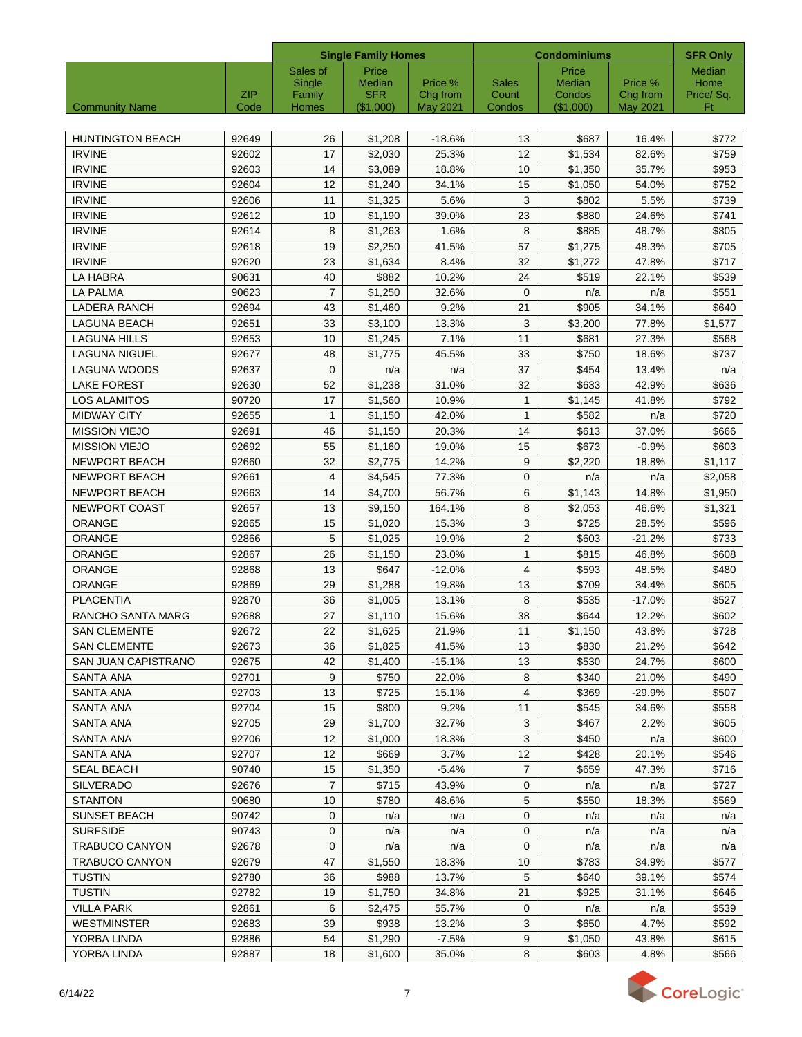|                            |                    |                        | <b>Single Family Homes</b> |                      | <b>Condominiums</b> |                     |                      | <b>SFR Only</b> |
|----------------------------|--------------------|------------------------|----------------------------|----------------------|---------------------|---------------------|----------------------|-----------------|
|                            |                    | Sales of               | Price                      |                      |                     | Price               |                      | <b>Median</b>   |
|                            |                    | Single                 | Median                     | Price %              | <b>Sales</b>        | Median              | Price %              | Home            |
| <b>Community Name</b>      | <b>ZIP</b><br>Code | Family<br><b>Homes</b> | <b>SFR</b><br>(\$1,000)    | Chg from<br>May 2021 | Count<br>Condos     | Condos<br>(\$1,000) | Chg from<br>May 2021 | Price/Sq.<br>Ft |
|                            |                    |                        |                            |                      |                     |                     |                      |                 |
| <b>HUNTINGTON BEACH</b>    | 92649              | 26                     | \$1,208                    | $-18.6%$             | 13                  | \$687               | 16.4%                | \$772           |
| <b>IRVINE</b>              | 92602              | 17                     | \$2,030                    | 25.3%                | 12                  | \$1,534             | 82.6%                | \$759           |
| <b>IRVINE</b>              | 92603              | 14                     | \$3,089                    | 18.8%                | 10                  | \$1,350             | 35.7%                | \$953           |
| <b>IRVINE</b>              | 92604              | 12                     | \$1,240                    | 34.1%                | 15                  | \$1,050             | 54.0%                | \$752           |
| <b>IRVINE</b>              | 92606              | 11                     | \$1,325                    | 5.6%                 | 3                   | \$802               | 5.5%                 | \$739           |
| <b>IRVINE</b>              | 92612              | 10                     | \$1,190                    | 39.0%                | 23                  | \$880               | 24.6%                | \$741           |
| <b>IRVINE</b>              | 92614              | 8                      | \$1,263                    | 1.6%                 | 8                   | \$885               | 48.7%                | \$805           |
| <b>IRVINE</b>              | 92618              | 19                     | \$2,250                    | 41.5%                | 57                  | \$1,275             | 48.3%                | \$705           |
| <b>IRVINE</b>              | 92620              | 23                     | \$1,634                    | 8.4%                 | 32                  | \$1,272             | 47.8%                | \$717           |
| LA HABRA                   | 90631              | 40                     | \$882                      | 10.2%                | 24                  | \$519               | 22.1%                | \$539           |
| <b>LA PALMA</b>            | 90623              | $\overline{7}$         | \$1,250                    | 32.6%                | $\mathbf 0$         | n/a                 | n/a                  | \$551           |
| <b>LADERA RANCH</b>        | 92694              | 43                     | \$1,460                    | 9.2%                 | 21                  | \$905               | 34.1%                | \$640           |
| <b>LAGUNA BEACH</b>        | 92651              | 33                     | \$3,100                    | 13.3%                | 3                   | \$3,200             | 77.8%                | \$1,577         |
| <b>LAGUNA HILLS</b>        | 92653              | 10                     | \$1,245                    | 7.1%                 | 11                  | \$681               | 27.3%                | \$568           |
| <b>LAGUNA NIGUEL</b>       | 92677              | 48                     | \$1.775                    | 45.5%                | 33                  | \$750               | 18.6%                | \$737           |
| <b>LAGUNA WOODS</b>        | 92637              | 0                      | n/a                        | n/a                  | 37                  | \$454               | 13.4%                | n/a             |
| <b>LAKE FOREST</b>         | 92630              | 52                     | \$1,238                    | 31.0%                | 32                  | \$633               | 42.9%                | \$636           |
| <b>LOS ALAMITOS</b>        | 90720              | 17                     | \$1,560                    | 10.9%                | $\mathbf{1}$        | \$1,145             | 41.8%                | \$792           |
| <b>MIDWAY CITY</b>         | 92655              | $\mathbf{1}$           | \$1.150                    | 42.0%                | $\mathbf{1}$        | \$582               | n/a                  | \$720           |
| <b>MISSION VIEJO</b>       | 92691              | 46                     | \$1,150                    | 20.3%                | 14                  | \$613               | 37.0%                | \$666           |
| <b>MISSION VIEJO</b>       | 92692              | 55                     | \$1,160                    | 19.0%                | 15                  | \$673               | $-0.9%$              | \$603           |
| <b>NEWPORT BEACH</b>       | 92660              | 32                     | \$2,775                    | 14.2%                | 9                   | \$2,220             | 18.8%                | \$1,117         |
| <b>NEWPORT BEACH</b>       | 92661              | 4                      | \$4,545                    | 77.3%                | $\mathbf 0$         | n/a                 | n/a                  | \$2,058         |
| <b>NEWPORT BEACH</b>       | 92663              | 14                     | \$4,700                    | 56.7%                | 6                   | \$1,143             | 14.8%                | \$1,950         |
| NEWPORT COAST              | 92657              | 13                     | \$9,150                    | 164.1%               | 8                   | \$2,053             | 46.6%                | \$1,321         |
| ORANGE                     | 92865              | 15                     | \$1,020                    | 15.3%                | 3                   | \$725               | 28.5%                | \$596           |
| <b>ORANGE</b>              | 92866              | 5                      | \$1,025                    | 19.9%                | $\overline{2}$      | \$603               | $-21.2%$             | \$733           |
| <b>ORANGE</b>              | 92867              | 26                     | \$1,150                    | 23.0%                | $\mathbf{1}$        | \$815               | 46.8%                | \$608           |
| ORANGE                     | 92868              | 13                     | \$647                      | $-12.0%$             | 4                   | \$593               | 48.5%                | \$480           |
| <b>ORANGE</b>              | 92869              | 29                     | \$1,288                    | 19.8%                | 13                  | \$709               | 34.4%                | \$605           |
| <b>PLACENTIA</b>           | 92870              | 36                     | \$1,005                    | 13.1%                | 8                   | \$535               | $-17.0%$             | \$527           |
| RANCHO SANTA MARG          | 92688              | 27                     | \$1,110                    | 15.6%                | 38                  | \$644               | 12.2%                | \$602           |
| <b>SAN CLEMENTE</b>        | 92672              | $\overline{22}$        | \$1,625                    | 21.9%                | 11                  | \$1,150             | 43.8%                | \$728           |
| <b>SAN CLEMENTE</b>        | 92673              | 36                     | \$1,825                    | 41.5%                | 13                  | \$830               | 21.2%                | \$642           |
| <b>SAN JUAN CAPISTRANO</b> | 92675              | 42                     | \$1,400                    | $-15.1%$             | 13                  | \$530               | 24.7%                | \$600           |
| SANTA ANA                  | 92701              | 9                      | \$750                      | 22.0%                | 8                   | \$340               | 21.0%                | \$490           |
| SANTA ANA                  | 92703              | 13                     | \$725                      | 15.1%                | 4                   | \$369               | $-29.9%$             | \$507           |
| SANTA ANA                  | 92704              | 15                     | \$800                      | 9.2%                 | 11                  | \$545               | 34.6%                | \$558           |
| <b>SANTA ANA</b>           | 92705              | 29                     | \$1,700                    | 32.7%                | 3                   | \$467               | 2.2%                 | \$605           |
| <b>SANTA ANA</b>           | 92706              | 12                     | \$1,000                    | 18.3%                | 3                   | \$450               | n/a                  | \$600           |
| <b>SANTA ANA</b>           | 92707              | 12                     | \$669                      | 3.7%                 | 12                  | \$428               | 20.1%                | \$546           |
| <b>SEAL BEACH</b>          | 90740              | 15                     | \$1,350                    | $-5.4%$              | $\overline{7}$      | \$659               | 47.3%                | \$716           |
| <b>SILVERADO</b>           | 92676              | $\overline{7}$         | \$715                      | 43.9%                | 0                   | n/a                 | n/a                  | \$727           |
| <b>STANTON</b>             | 90680              | 10                     | \$780                      | 48.6%                | 5                   | \$550               | 18.3%                | \$569           |
| <b>SUNSET BEACH</b>        | 90742              | $\mathbf{0}$           | n/a                        | n/a                  | 0                   | n/a                 | n/a                  | n/a             |
| <b>SURFSIDE</b>            | 90743              | 0                      | n/a                        | n/a                  | 0                   | n/a                 | n/a                  | n/a             |
| <b>TRABUCO CANYON</b>      | 92678              | 0                      | n/a                        | n/a                  | $\mathbf 0$         | n/a                 | n/a                  | n/a             |
| TRABUCO CANYON             | 92679              | 47                     | \$1,550                    | 18.3%                | 10                  | \$783               | 34.9%                | \$577           |
| <b>TUSTIN</b>              | 92780              | 36                     | \$988                      | 13.7%                | 5                   | \$640               | 39.1%                | \$574           |
| <b>TUSTIN</b>              | 92782              | 19                     | \$1,750                    | 34.8%                | 21                  | \$925               | 31.1%                | \$646           |
| <b>VILLA PARK</b>          | 92861              | 6                      | \$2,475                    | 55.7%                | 0                   | n/a                 | n/a                  | \$539           |
| <b>WESTMINSTER</b>         | 92683              | 39                     | \$938                      | 13.2%                | 3                   | \$650               | 4.7%                 | \$592           |
| YORBA LINDA                | 92886              | 54                     | \$1,290                    | $-7.5%$              | 9                   | \$1,050             | 43.8%                | \$615           |
| YORBA LINDA                | 92887              | 18                     | \$1,600                    | 35.0%                | 8                   | \$603               | 4.8%                 | \$566           |
|                            |                    |                        |                            |                      |                     |                     |                      |                 |

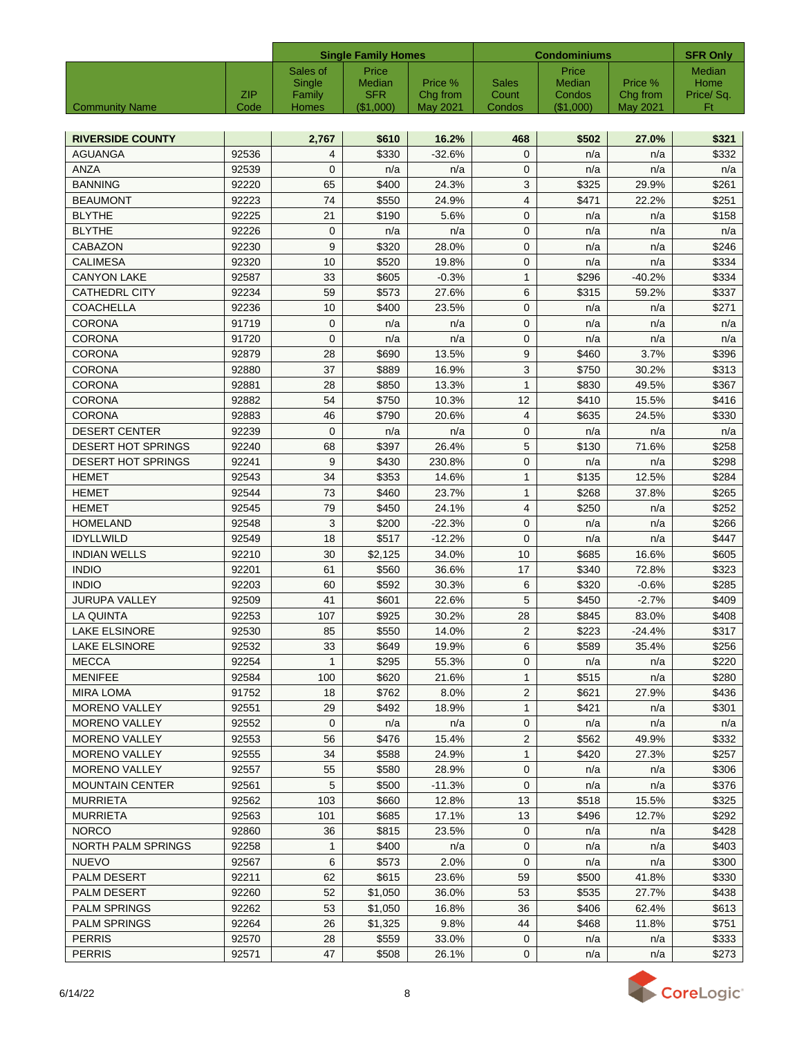|                                                   |                |                              | <b>Single Family Homes</b>    |                     |                                | <b>Condominiums</b>       |                     |                                                |  |
|---------------------------------------------------|----------------|------------------------------|-------------------------------|---------------------|--------------------------------|---------------------------|---------------------|------------------------------------------------|--|
|                                                   | <b>ZIP</b>     | Sales of<br>Single<br>Family | Price<br>Median<br><b>SFR</b> | Price %<br>Chg from | <b>Sales</b><br>Count          | Price<br>Median<br>Condos | Price %<br>Chg from | <b>SFR Only</b><br>Median<br>Home<br>Price/Sq. |  |
| <b>Community Name</b>                             | Code           | Homes                        | (\$1.000)                     | May 2021            | Condos                         | (\$1.000)                 | <b>May 2021</b>     | Ft                                             |  |
|                                                   |                |                              |                               |                     |                                |                           |                     |                                                |  |
| <b>RIVERSIDE COUNTY</b><br><b>AGUANGA</b>         | 92536          | 2,767                        | \$610<br>\$330                | 16.2%<br>$-32.6%$   | 468<br>$\mathbf 0$             | \$502<br>n/a              | 27.0%               | \$321<br>\$332                                 |  |
| <b>ANZA</b>                                       | 92539          | 4<br>$\mathbf 0$             | n/a                           | n/a                 | $\mathbf 0$                    | n/a                       | n/a<br>n/a          | n/a                                            |  |
| <b>BANNING</b>                                    | 92220          | 65                           | \$400                         | 24.3%               | 3                              | \$325                     | 29.9%               | \$261                                          |  |
| <b>BEAUMONT</b>                                   | 92223          | 74                           | \$550                         | 24.9%               | $\overline{4}$                 | \$471                     | 22.2%               | \$251                                          |  |
| <b>BLYTHE</b>                                     | 92225          | 21                           | \$190                         | 5.6%                | $\mathbf{0}$                   | n/a                       | n/a                 | \$158                                          |  |
| <b>BLYTHE</b>                                     | 92226          | $\mathbf 0$                  | n/a                           | n/a                 | $\mathbf 0$                    | n/a                       | n/a                 | n/a                                            |  |
| <b>CABAZON</b>                                    | 92230          | 9                            | \$320                         | 28.0%               | $\mathbf{0}$                   | n/a                       | n/a                 | \$246                                          |  |
| <b>CALIMESA</b>                                   | 92320          | 10                           | \$520                         | 19.8%               | $\mathbf{0}$                   | n/a                       | n/a                 | \$334                                          |  |
| <b>CANYON LAKE</b>                                | 92587          | 33                           | \$605                         | $-0.3%$             | $\mathbf{1}$                   | \$296                     | $-40.2%$            | \$334                                          |  |
| <b>CATHEDRL CITY</b>                              | 92234          | 59                           | \$573                         | 27.6%               | 6                              | \$315                     | 59.2%               | \$337                                          |  |
| <b>COACHELLA</b>                                  | 92236          | 10                           | \$400                         | 23.5%               | $\mathbf{0}$                   | n/a                       | n/a                 | \$271                                          |  |
| <b>CORONA</b>                                     | 91719          | $\mathbf 0$                  | n/a                           | n/a                 | $\mathbf{0}$                   | n/a                       | n/a                 | n/a                                            |  |
| <b>CORONA</b>                                     | 91720          | $\overline{0}$               | n/a                           | n/a                 | $\mathbf{0}$                   | n/a                       | n/a                 | n/a                                            |  |
| <b>CORONA</b>                                     | 92879          | 28                           | \$690                         | 13.5%               | 9                              | \$460                     | 3.7%                | \$396                                          |  |
| <b>CORONA</b>                                     | 92880          | 37                           | \$889                         | 16.9%               | 3                              | \$750                     | 30.2%               | \$313                                          |  |
| <b>CORONA</b>                                     | 92881          | 28                           | \$850                         | 13.3%               | $\mathbf{1}$                   | \$830                     | 49.5%               | \$367                                          |  |
| <b>CORONA</b>                                     | 92882          | 54                           | \$750                         | 10.3%               | 12                             | \$410                     | 15.5%               | \$416                                          |  |
| <b>CORONA</b>                                     | 92883          | 46                           | \$790                         | 20.6%               | $\overline{4}$                 | \$635                     | 24.5%               | \$330                                          |  |
| <b>DESERT CENTER</b><br><b>DESERT HOT SPRINGS</b> | 92239          | $\mathbf 0$<br>68            | n/a<br>\$397                  | n/a<br>26.4%        | $\mathbf{0}$<br>5              | n/a<br>\$130              | n/a<br>71.6%        | n/a<br>\$258                                   |  |
| <b>DESERT HOT SPRINGS</b>                         | 92240<br>92241 | 9                            | \$430                         | 230.8%              | $\mathbf 0$                    |                           |                     | \$298                                          |  |
| <b>HEMET</b>                                      | 92543          | 34                           | \$353                         | 14.6%               | $\mathbf{1}$                   | n/a<br>\$135              | n/a<br>12.5%        | \$284                                          |  |
| <b>HEMET</b>                                      | 92544          | 73                           | \$460                         | 23.7%               | $\mathbf{1}$                   | \$268                     | 37.8%               | \$265                                          |  |
| <b>HEMET</b>                                      | 92545          | 79                           | \$450                         | 24.1%               | $\overline{4}$                 | \$250                     | n/a                 | \$252                                          |  |
| <b>HOMELAND</b>                                   | 92548          | 3                            | \$200                         | $-22.3%$            | $\mathbf{0}$                   | n/a                       | n/a                 | \$266                                          |  |
| <b>IDYLLWILD</b>                                  | 92549          | 18                           | \$517                         | $-12.2%$            | $\mathbf{0}$                   | n/a                       | n/a                 | \$447                                          |  |
| <b>INDIAN WELLS</b>                               | 92210          | 30                           | \$2,125                       | 34.0%               | 10                             | \$685                     | 16.6%               | \$605                                          |  |
| <b>INDIO</b>                                      | 92201          | 61                           | \$560                         | 36.6%               | 17                             | \$340                     | 72.8%               | \$323                                          |  |
| <b>INDIO</b>                                      | 92203          | 60                           | \$592                         | 30.3%               | 6                              | \$320                     | $-0.6%$             | \$285                                          |  |
| <b>JURUPA VALLEY</b>                              | 92509          | 41                           | \$601                         | 22.6%               | 5                              | \$450                     | $-2.7%$             | \$409                                          |  |
| LA QUINTA                                         | 92253          | 107                          | \$925                         | 30.2%               | 28                             | \$845                     | 83.0%               | \$408                                          |  |
| <b>LAKE ELSINORE</b>                              | 92530          | 85                           | \$550                         | 14.0%               | 2                              | \$223                     | -24.4%              | \$317                                          |  |
| LAKE ELSINORE                                     | 92532          | 33                           | \$649                         | 19.9%               | 6                              | \$589                     | 35.4%               | \$256                                          |  |
| <b>MECCA</b>                                      | 92254          | 1                            | \$295                         | 55.3%               | 0                              | n/a                       | n/a                 | \$220                                          |  |
| <b>MENIFEE</b>                                    | 92584          | 100                          | \$620                         | 21.6%               | $\mathbf{1}$                   | \$515                     | n/a                 | \$280                                          |  |
| <b>MIRA LOMA</b>                                  | 91752          | 18                           | \$762                         | 8.0%                | $\overline{2}$                 | \$621                     | 27.9%               | \$436                                          |  |
| MORENO VALLEY                                     | 92551          | 29                           | \$492                         | 18.9%               | $\mathbf{1}$                   | \$421                     | n/a                 | \$301                                          |  |
| <b>MORENO VALLEY</b>                              | 92552          | $\mathbf{0}$                 | n/a                           | n/a                 | $\mathbf{0}$                   | n/a                       | n/a                 | n/a                                            |  |
| <b>MORENO VALLEY</b><br><b>MORENO VALLEY</b>      | 92553<br>92555 | 56<br>34                     | \$476<br>\$588                | 15.4%<br>24.9%      | $\overline{2}$<br>$\mathbf{1}$ | \$562<br>\$420            | 49.9%<br>27.3%      | \$332<br>\$257                                 |  |
| <b>MORENO VALLEY</b>                              | 92557          | 55                           | \$580                         | 28.9%               | 0                              | n/a                       | n/a                 | \$306                                          |  |
| <b>MOUNTAIN CENTER</b>                            | 92561          | 5                            | \$500                         | $-11.3%$            | 0                              | n/a                       | n/a                 | \$376                                          |  |
| <b>MURRIETA</b>                                   | 92562          | 103                          | \$660                         | 12.8%               | 13                             | \$518                     | 15.5%               | \$325                                          |  |
| <b>MURRIETA</b>                                   | 92563          | 101                          | \$685                         | 17.1%               | 13                             | \$496                     | 12.7%               | \$292                                          |  |
| <b>NORCO</b>                                      | 92860          | 36                           | \$815                         | 23.5%               | $\mathbf{0}$                   | n/a                       | n/a                 | \$428                                          |  |
| NORTH PALM SPRINGS                                | 92258          | 1                            | \$400                         | n/a                 | 0                              | n/a                       | n/a                 | \$403                                          |  |
| <b>NUEVO</b>                                      | 92567          | 6                            | \$573                         | 2.0%                | $\mathbf{0}$                   | n/a                       | n/a                 | \$300                                          |  |
| <b>PALM DESERT</b>                                | 92211          | 62                           | \$615                         | 23.6%               | 59                             | \$500                     | 41.8%               | \$330                                          |  |
| PALM DESERT                                       | 92260          | 52                           | \$1,050                       | 36.0%               | 53                             | \$535                     | 27.7%               | \$438                                          |  |
| <b>PALM SPRINGS</b>                               | 92262          | 53                           | \$1,050                       | 16.8%               | 36                             | \$406                     | 62.4%               | \$613                                          |  |
| <b>PALM SPRINGS</b>                               | 92264          | 26                           | \$1,325                       | 9.8%                | 44                             | \$468                     | 11.8%               | \$751                                          |  |
| <b>PERRIS</b>                                     | 92570          | 28                           | \$559                         | 33.0%               | $\mathbf{0}$                   | n/a                       | n/a                 | \$333                                          |  |
| <b>PERRIS</b>                                     | 92571          | 47                           | \$508                         | 26.1%               | $\mathbf 0$                    | n/a                       | n/a                 | \$273                                          |  |

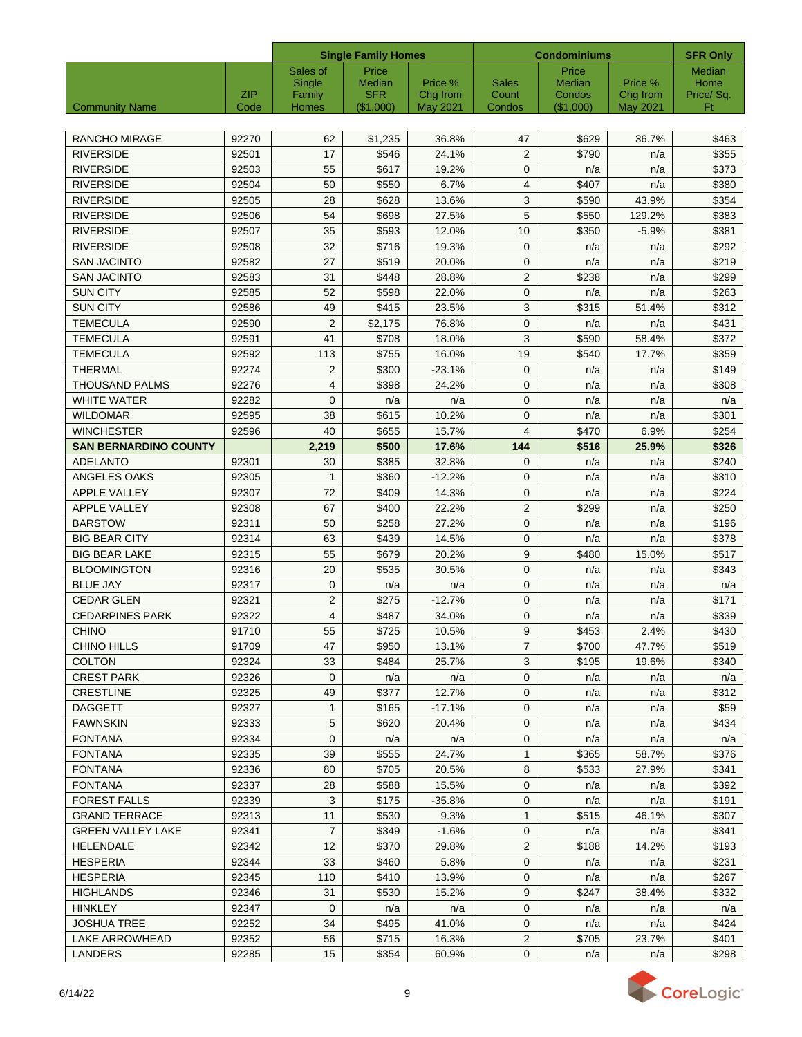|                              |            |                 | <b>Single Family Homes</b> |                     |                       | <b>Condominiums</b> |                     | <b>SFR Only</b>   |
|------------------------------|------------|-----------------|----------------------------|---------------------|-----------------------|---------------------|---------------------|-------------------|
|                              |            | Sales of        | Price                      |                     |                       | Price               |                     | Median            |
|                              | <b>ZIP</b> | Single          | Median<br><b>SFR</b>       | Price %<br>Chg from | <b>Sales</b><br>Count | Median<br>Condos    | Price %<br>Chg from | Home<br>Price/Sq. |
| <b>Community Name</b>        | Code       | Family<br>Homes | (\$1,000)                  | May 2021            | Condos                | (\$1,000)           | May 2021            | Ft                |
|                              |            |                 |                            |                     |                       |                     |                     |                   |
| <b>RANCHO MIRAGE</b>         | 92270      | 62              | \$1,235                    | 36.8%               | 47                    | \$629               | 36.7%               | \$463             |
| <b>RIVERSIDE</b>             | 92501      | 17              | \$546                      | 24.1%               | 2                     | \$790               | n/a                 | \$355             |
| <b>RIVERSIDE</b>             | 92503      | 55              | \$617                      | 19.2%               | $\mathbf{0}$          | n/a                 | n/a                 | \$373             |
| <b>RIVERSIDE</b>             | 92504      | 50              | \$550                      | 6.7%                | $\overline{4}$        | \$407               | n/a                 | \$380             |
| <b>RIVERSIDE</b>             | 92505      | 28              | \$628                      | 13.6%               | 3                     | \$590               | 43.9%               | \$354             |
| <b>RIVERSIDE</b>             | 92506      | 54              | \$698                      | 27.5%               | 5                     | \$550               | 129.2%              | \$383             |
| <b>RIVERSIDE</b>             | 92507      | 35              | \$593                      | 12.0%               | 10                    | \$350               | $-5.9%$             | \$381             |
| <b>RIVERSIDE</b>             | 92508      | 32              | \$716                      | 19.3%               | $\mathbf{0}$          | n/a                 | n/a                 | \$292             |
| <b>SAN JACINTO</b>           | 92582      | 27              | \$519                      | 20.0%               | $\mathbf 0$           | n/a                 | n/a                 | \$219             |
| <b>SAN JACINTO</b>           | 92583      | 31              | \$448                      | 28.8%               | 2                     | \$238               | n/a                 | \$299             |
| <b>SUN CITY</b>              | 92585      | 52              | \$598                      | 22.0%               | $\mathbf{0}$          | n/a                 | n/a                 | \$263             |
| <b>SUN CITY</b>              | 92586      | 49              | \$415                      | 23.5%               | 3                     | \$315               | 51.4%               | \$312             |
| <b>TEMECULA</b>              | 92590      | $\overline{2}$  | \$2,175                    | 76.8%               | $\mathbf{0}$          | n/a                 | n/a                 | \$431             |
| <b>TEMECULA</b>              | 92591      | 41              | \$708                      | 18.0%               | 3                     | \$590               | 58.4%               | \$372             |
| <b>TEMECULA</b>              | 92592      | 113             | \$755                      | 16.0%               | 19                    | \$540               | 17.7%               | \$359             |
| <b>THERMAL</b>               | 92274      | 2               | \$300                      | $-23.1%$            | 0                     | n/a                 | n/a                 | \$149             |
| <b>THOUSAND PALMS</b>        | 92276      | 4               | \$398                      | 24.2%               | $\mathbf 0$           | n/a                 | n/a                 | \$308             |
| <b>WHITE WATER</b>           | 92282      | $\mathbf{0}$    | n/a                        | n/a                 | $\mathbf{0}$          | n/a                 | n/a                 | n/a               |
| <b>WILDOMAR</b>              | 92595      | 38              | \$615                      | 10.2%               | $\mathbf 0$           | n/a                 | n/a                 | \$301             |
| <b>WINCHESTER</b>            | 92596      | 40              | \$655                      | 15.7%               | $\overline{4}$        | \$470               | 6.9%                | \$254             |
| <b>SAN BERNARDINO COUNTY</b> |            | 2,219           | \$500                      | 17.6%               | 144                   | \$516               | 25.9%               | \$326             |
| <b>ADELANTO</b>              | 92301      | 30              | \$385                      | 32.8%               | 0                     | n/a                 | n/a                 | \$240             |
| ANGELES OAKS                 | 92305      | 1               | \$360                      | $-12.2%$            | $\mathbf 0$           | n/a                 | n/a                 | \$310             |
| APPLE VALLEY                 | 92307      | 72              | \$409                      | 14.3%               | $\mathbf 0$           | n/a                 | n/a                 | \$224             |
| <b>APPLE VALLEY</b>          | 92308      | 67              | \$400                      | 22.2%               | $\overline{2}$        | \$299               | n/a                 | \$250             |
| <b>BARSTOW</b>               | 92311      | 50              | \$258                      | 27.2%               | $\mathbf{0}$          | n/a                 | n/a                 | \$196             |
| <b>BIG BEAR CITY</b>         | 92314      | 63              | \$439                      | 14.5%               | $\mathbf 0$           | n/a                 | n/a                 | \$378             |
| <b>BIG BEAR LAKE</b>         | 92315      | 55              | \$679                      | 20.2%               | 9                     | \$480               | 15.0%               | \$517             |
| <b>BLOOMINGTON</b>           | 92316      | 20              | \$535                      | 30.5%               | $\mathbf 0$           | n/a                 | n/a                 | \$343             |
| <b>BLUE JAY</b>              | 92317      | $\mathbf{0}$    | n/a                        | n/a                 | $\mathbf{0}$          | n/a                 | n/a                 | n/a               |
| <b>CEDAR GLEN</b>            | 92321      | $\overline{2}$  | \$275                      | $-12.7%$            | $\mathbf{0}$          | n/a                 | n/a                 | \$171             |
| <b>CEDARPINES PARK</b>       | 92322      | $\overline{4}$  | \$487                      | 34.0%               | $\mathbf{0}$          | n/a                 | n/a                 | \$339             |
| <b>CHINO</b>                 | 91710      | 55              | \$725                      | 10.5%               | 9                     | \$453               | 2.4%                | \$430             |
| CHINO HILLS                  | 91709      | 47              | \$950                      | 13.1%               | $\overline{7}$        | \$700               | 47.7%               | \$519             |
| <b>COLTON</b>                | 92324      | 33              | \$484                      | 25.7%               | 3                     | \$195               | 19.6%               | \$340             |
| <b>CREST PARK</b>            | 92326      | 0               | n/a                        | n/a                 | 0                     | n/a                 | n/a                 | n/a               |
| <b>CRESTLINE</b>             | 92325      | 49              | \$377                      | 12.7%               | 0                     | n/a                 | n/a                 | \$312             |
| <b>DAGGETT</b>               | 92327      | $\mathbf{1}$    | \$165                      | $-17.1%$            | 0                     | n/a                 | n/a                 | \$59              |
| <b>FAWNSKIN</b>              | 92333      | 5               | \$620                      | 20.4%               | $\mathbf 0$           | n/a                 | n/a                 | \$434             |
| <b>FONTANA</b>               | 92334      | 0               | n/a                        | n/a                 | 0                     | n/a                 | n/a                 | n/a               |
| <b>FONTANA</b>               | 92335      | 39              | \$555                      | 24.7%               | $\mathbf{1}$          | \$365               | 58.7%               | \$376             |
| <b>FONTANA</b>               | 92336      | 80              | \$705                      | 20.5%               | 8                     | \$533               | 27.9%               | \$341             |
| <b>FONTANA</b>               | 92337      | 28              | \$588                      | 15.5%               | 0                     | n/a                 | n/a                 | \$392             |
| <b>FOREST FALLS</b>          | 92339      | 3               | \$175                      | $-35.8%$            | 0                     | n/a                 | n/a                 | \$191             |
| <b>GRAND TERRACE</b>         | 92313      | 11              | \$530                      | 9.3%                | $\mathbf{1}$          | \$515               | 46.1%               | \$307             |
| <b>GREEN VALLEY LAKE</b>     | 92341      | $\overline{7}$  | \$349                      | $-1.6%$             | 0                     | n/a                 | n/a                 | \$341             |
| <b>HELENDALE</b>             | 92342      | 12 <sup>°</sup> | \$370                      | 29.8%               | $\overline{2}$        | \$188               | 14.2%               | \$193             |
| <b>HESPERIA</b>              | 92344      | 33              | \$460                      | 5.8%                | 0                     | n/a                 | n/a                 | \$231             |
| <b>HESPERIA</b>              | 92345      | 110             | \$410                      | 13.9%               | 0                     | n/a                 | n/a                 | \$267             |
| <b>HIGHLANDS</b>             | 92346      | 31              | \$530                      | 15.2%               | 9                     | \$247               | 38.4%               | \$332             |
| HINKLEY                      | 92347      | $\mathbf 0$     | n/a                        | n/a                 | $\mathbf 0$           | n/a                 | n/a                 | n/a               |
| <b>JOSHUA TREE</b>           | 92252      | 34              | \$495                      | 41.0%               | 0                     | n/a                 | n/a                 | \$424             |
| LAKE ARROWHEAD               | 92352      | 56              | \$715                      | 16.3%               | $\overline{2}$        | \$705               | 23.7%               | \$401             |
| <b>LANDERS</b>               | 92285      | 15              | \$354                      | 60.9%               | $\mathbf 0$           | n/a                 | n/a                 | \$298             |

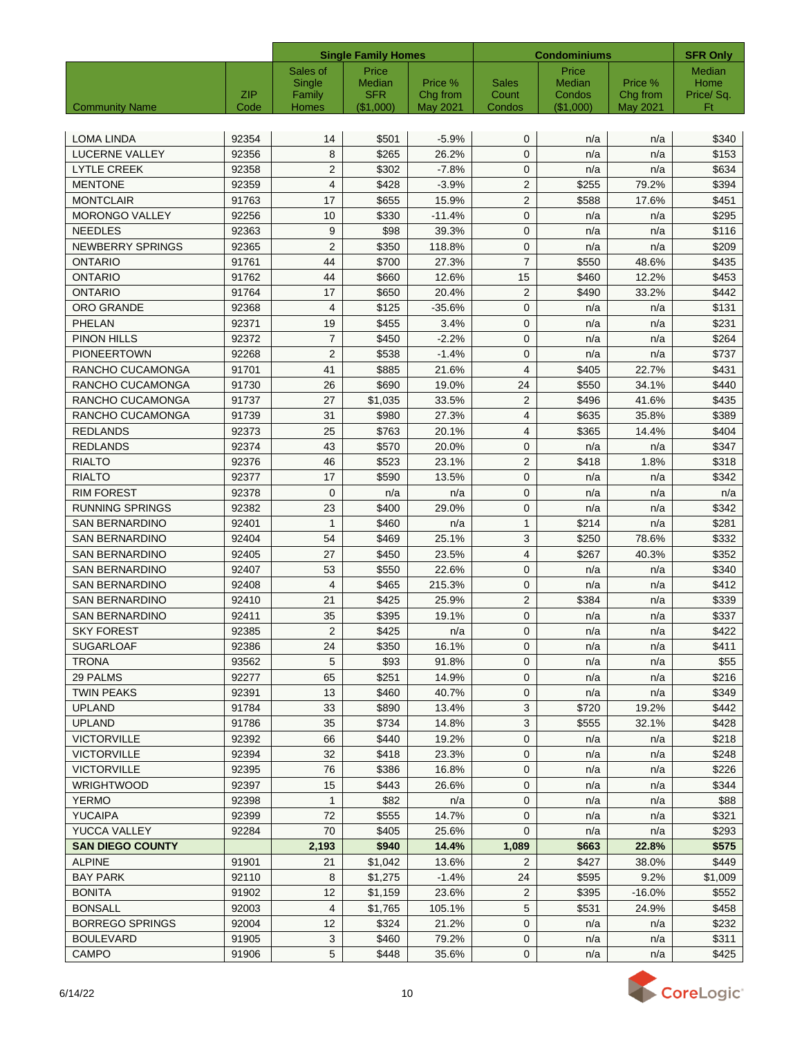|                         |            |                 | <b>Single Family Homes</b> |                             |                       | <b>Condominiums</b>     |                     |                   |
|-------------------------|------------|-----------------|----------------------------|-----------------------------|-----------------------|-------------------------|---------------------|-------------------|
|                         |            | Sales of        | Price                      |                             |                       | Price                   |                     | <b>Median</b>     |
|                         | <b>ZIP</b> | Single          | Median<br><b>SFR</b>       | Price %                     | <b>Sales</b><br>Count | <b>Median</b><br>Condos | Price %<br>Chg from | Home<br>Price/Sq. |
| <b>Community Name</b>   | Code       | Family<br>Homes | (\$1,000)                  | Chg from<br><b>May 2021</b> | Condos                | $($ \$1,000)            | <b>May 2021</b>     | Ft                |
|                         |            |                 |                            |                             |                       |                         |                     |                   |
| <b>LOMA LINDA</b>       | 92354      | 14              | \$501                      | $-5.9%$                     | $\mathbf{0}$          | n/a                     | n/a                 | \$340             |
| <b>LUCERNE VALLEY</b>   | 92356      | 8               | \$265                      | 26.2%                       | $\mathbf{0}$          | n/a                     | n/a                 | \$153             |
| <b>LYTLE CREEK</b>      | 92358      | $\overline{2}$  | \$302                      | $-7.8%$                     | $\mathbf{0}$          | n/a                     | n/a                 | \$634             |
| <b>MENTONE</b>          | 92359      | $\overline{4}$  | \$428                      | $-3.9%$                     | $\overline{2}$        | \$255                   | 79.2%               | \$394             |
| <b>MONTCLAIR</b>        | 91763      | 17              | \$655                      | 15.9%                       | $\overline{2}$        | \$588                   | 17.6%               | \$451             |
| <b>MORONGO VALLEY</b>   | 92256      | 10              | \$330                      | $-11.4%$                    | $\mathbf{0}$          | n/a                     | n/a                 | \$295             |
| <b>NEEDLES</b>          | 92363      | 9               | \$98                       | 39.3%                       | $\mathbf 0$           | n/a                     | n/a                 | \$116             |
| <b>NEWBERRY SPRINGS</b> | 92365      | $\overline{2}$  | \$350                      | 118.8%                      | $\mathbf 0$           | n/a                     | n/a                 | \$209             |
| <b>ONTARIO</b>          | 91761      | 44              | \$700                      | 27.3%                       | $\overline{7}$        | \$550                   | 48.6%               | \$435             |
| <b>ONTARIO</b>          | 91762      | 44              | \$660                      | 12.6%                       | 15                    | \$460                   | 12.2%               | \$453             |
| ONTARIO                 | 91764      | 17              | \$650                      | 20.4%                       | $\overline{2}$        | \$490                   | 33.2%               | \$442             |
| <b>ORO GRANDE</b>       | 92368      | $\overline{4}$  | \$125                      | $-35.6%$                    | $\mathbf 0$           | n/a                     | n/a                 | \$131             |
| PHELAN                  | 92371      | 19              | \$455                      | 3.4%                        | $\mathbf 0$           | n/a                     | n/a                 | \$231             |
| <b>PINON HILLS</b>      | 92372      | $\overline{7}$  | \$450                      | $-2.2%$                     | $\mathbf 0$           | n/a                     | n/a                 | \$264             |
| <b>PIONEERTOWN</b>      | 92268      | 2               | \$538                      | $-1.4%$                     | $\mathbf 0$           | n/a                     | n/a                 | \$737             |
| RANCHO CUCAMONGA        | 91701      | 41              | \$885                      | 21.6%                       | $\overline{4}$        | \$405                   | 22.7%               | \$431             |
| RANCHO CUCAMONGA        | 91730      | 26              | \$690                      | 19.0%                       | 24                    | \$550                   | 34.1%               | \$440             |
| RANCHO CUCAMONGA        | 91737      | 27              | \$1,035                    | 33.5%                       | $\mathbf{2}$          | \$496                   | 41.6%               | \$435             |
| RANCHO CUCAMONGA        | 91739      | 31              | \$980                      | 27.3%                       | 4                     | \$635                   | 35.8%               | \$389             |
| <b>REDLANDS</b>         | 92373      | 25              | \$763                      | 20.1%                       | 4                     | \$365                   | 14.4%               | \$404             |
| <b>REDLANDS</b>         | 92374      | 43              | \$570                      | 20.0%                       | $\mathbf 0$           | n/a                     | n/a                 | \$347             |
| <b>RIALTO</b>           | 92376      | 46              | \$523                      | 23.1%                       | 2                     | \$418                   | 1.8%                | \$318             |
| <b>RIALTO</b>           | 92377      | 17              | \$590                      | 13.5%                       | $\mathbf 0$           | n/a                     | n/a                 | \$342             |
| <b>RIM FOREST</b>       | 92378      | 0               | n/a                        | n/a                         | $\mathbf 0$           | n/a                     | n/a                 | n/a               |
| <b>RUNNING SPRINGS</b>  | 92382      | 23              | \$400                      | 29.0%                       | $\mathbf{0}$          | n/a                     | n/a                 | \$342             |
| <b>SAN BERNARDINO</b>   | 92401      | $\mathbf{1}$    | \$460                      | n/a                         | $\mathbf{1}$          | \$214                   | n/a                 | \$281             |
| <b>SAN BERNARDINO</b>   | 92404      | 54              | \$469                      | 25.1%                       | 3                     | \$250                   | 78.6%               | \$332             |
| <b>SAN BERNARDINO</b>   | 92405      | 27              | \$450                      | 23.5%                       | $\overline{4}$        | \$267                   | 40.3%               | \$352             |
| <b>SAN BERNARDINO</b>   | 92407      | 53              | \$550                      | 22.6%                       | $\mathbf 0$           | n/a                     | n/a                 | \$340             |
| <b>SAN BERNARDINO</b>   | 92408      | $\overline{4}$  | \$465                      | 215.3%                      | $\mathbf{0}$          | n/a                     | n/a                 | \$412             |
| <b>SAN BERNARDINO</b>   | 92410      | 21              | \$425                      | 25.9%                       | 2                     | \$384                   | n/a                 | \$339             |
| <b>SAN BERNARDINO</b>   | 92411      | 35              | \$395                      | 19.1%                       | $\mathbf{0}$          | n/a                     | n/a                 | \$337             |
| <b>SKY FOREST</b>       | 92385      | $\overline{2}$  | \$425                      | n/a                         | $\mathsf 0$           | n/a                     | n/a                 | \$422             |
| <b>SUGARLOAF</b>        | 92386      | 24              | \$350                      | 16.1%                       | $\mathbf{0}$          | n/a                     | n/a                 | \$411             |
| TRONA                   | 93562      | 5               | \$93                       | 91.8%                       | 0                     | n/a                     | n/a                 | \$55              |
| 29 PALMS                | 92277      | 65              | \$251                      | 14.9%                       | $\mathbf 0$           | n/a                     | n/a                 | \$216             |
| <b>TWIN PEAKS</b>       | 92391      | 13              | \$460                      | 40.7%                       | 0                     | n/a                     | n/a                 | \$349             |
| <b>UPLAND</b>           | 91784      | 33              | \$890                      | 13.4%                       | 3                     | \$720                   | 19.2%               | \$442             |
| <b>UPLAND</b>           | 91786      | 35              | \$734                      | 14.8%                       | $\mathbf{3}$          | \$555                   | 32.1%               | \$428             |
| <b>VICTORVILLE</b>      | 92392      | 66              | \$440                      | 19.2%                       | 0                     | n/a                     | n/a                 | \$218             |
| <b>VICTORVILLE</b>      | 92394      | 32              | \$418                      | 23.3%                       | $\mathbf 0$           | n/a                     | n/a                 | \$248             |
| <b>VICTORVILLE</b>      | 92395      | 76              | \$386                      | 16.8%                       | 0                     | n/a                     | n/a                 | \$226             |
| WRIGHTWOOD              | 92397      | 15              | \$443                      | 26.6%                       | 0                     | n/a                     | n/a                 | \$344             |
| <b>YERMO</b>            | 92398      | $\mathbf{1}$    | \$82                       | n/a                         | 0                     | n/a                     | n/a                 | \$88              |
| YUCAIPA                 | 92399      | 72              | \$555                      | 14.7%                       | 0                     | n/a                     | n/a                 | \$321             |
| YUCCA VALLEY            | 92284      | 70              | \$405                      | 25.6%                       | $\mathbf{0}$          | n/a                     | n/a                 | \$293             |
| <b>SAN DIEGO COUNTY</b> |            | 2,193           | \$940                      | 14.4%                       | 1,089                 | \$663                   | 22.8%               | \$575             |
| <b>ALPINE</b>           | 91901      | 21              | \$1,042                    | 13.6%                       | $\overline{2}$        | \$427                   | 38.0%               | \$449             |
| BAY PARK                | 92110      | 8               | \$1,275                    | $-1.4%$                     | 24                    | \$595                   | 9.2%                | \$1,009           |
| <b>BONITA</b>           | 91902      | 12              | \$1,159                    | 23.6%                       | $\overline{2}$        | \$395                   | $-16.0%$            | \$552             |
| <b>BONSALL</b>          | 92003      | 4               | \$1,765                    | 105.1%                      | $\sqrt{5}$            | \$531                   | 24.9%               | \$458             |
| <b>BORREGO SPRINGS</b>  | 92004      | 12              | \$324                      | 21.2%                       | $\mathbf 0$           | n/a                     | n/a                 | \$232             |
| <b>BOULEVARD</b>        | 91905      | $\mathbf{3}$    | \$460                      | 79.2%                       | $\mathbf 0$           | n/a                     | n/a                 | \$311             |
| CAMPO                   | 91906      | 5               | \$448                      | 35.6%                       | $\mathbf 0$           | n/a                     | n/a                 | \$425             |

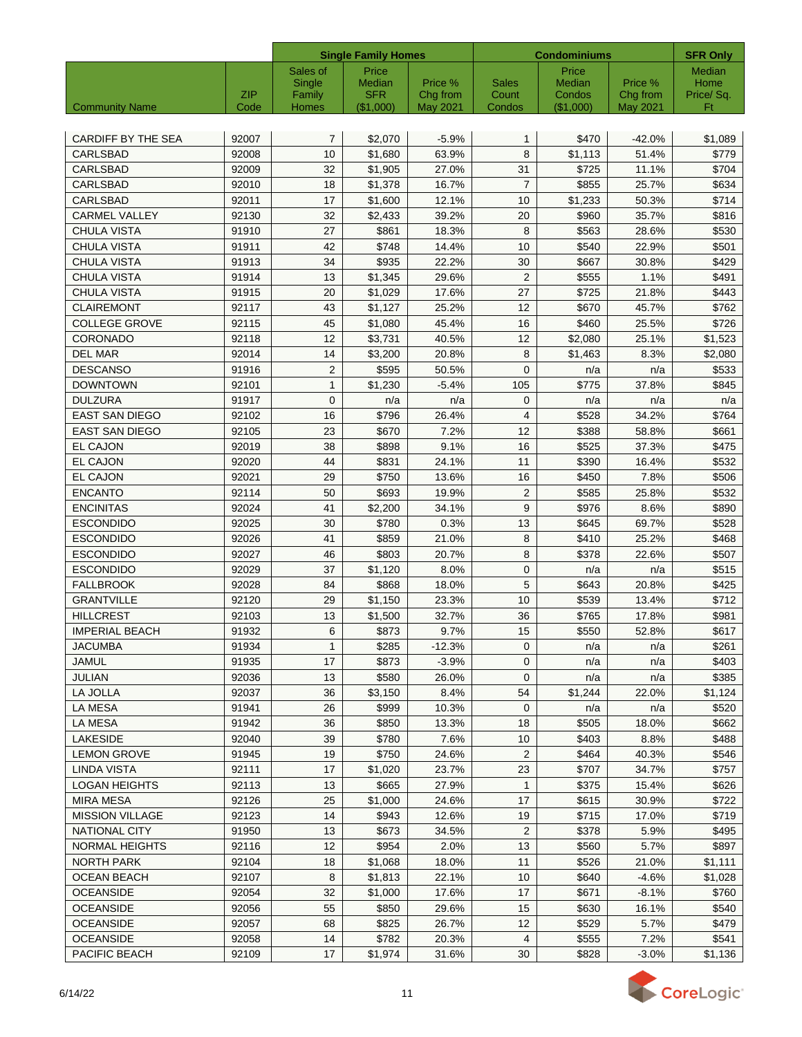|                           |                    |                 | <b>Single Family Homes</b> |                      |                 | <b>Condominiums</b> |                      | <b>SFR Only</b> |
|---------------------------|--------------------|-----------------|----------------------------|----------------------|-----------------|---------------------|----------------------|-----------------|
|                           |                    | Sales of        | Price                      |                      |                 | Price               |                      | <b>Median</b>   |
|                           |                    | Single          | Median                     | Price %              | <b>Sales</b>    | Median              | Price %              | Home            |
| <b>Community Name</b>     | <b>ZIP</b><br>Code | Family<br>Homes | <b>SFR</b><br>(\$1,000)    | Chg from<br>May 2021 | Count<br>Condos | Condos<br>(\$1,000) | Chg from<br>May 2021 | Price/Sq.<br>Ft |
|                           |                    |                 |                            |                      |                 |                     |                      |                 |
| <b>CARDIFF BY THE SEA</b> | 92007              | 7               | \$2,070                    | $-5.9%$              | $\mathbf{1}$    | \$470               | $-42.0%$             | \$1,089         |
| CARLSBAD                  | 92008              | 10              | \$1,680                    | 63.9%                | 8               | \$1,113             | 51.4%                | \$779           |
| <b>CARLSBAD</b>           | 92009              | 32              | \$1,905                    | 27.0%                | 31              | \$725               | 11.1%                | \$704           |
| <b>CARLSBAD</b>           | 92010              | 18              | \$1,378                    | 16.7%                | $\overline{7}$  | \$855               | 25.7%                | \$634           |
| <b>CARLSBAD</b>           | 92011              | 17              | \$1,600                    | 12.1%                | 10              | \$1,233             | 50.3%                | \$714           |
| <b>CARMEL VALLEY</b>      | 92130              | 32              | \$2.433                    | 39.2%                | 20              | \$960               | 35.7%                | \$816           |
| <b>CHULA VISTA</b>        | 91910              | 27              | \$861                      | 18.3%                | 8               | \$563               | 28.6%                | \$530           |
| <b>CHULA VISTA</b>        | 91911              | 42              | \$748                      | 14.4%                | 10              | \$540               | 22.9%                | \$501           |
| <b>CHULA VISTA</b>        | 91913              | 34              | \$935                      | 22.2%                | 30              | \$667               | 30.8%                | \$429           |
| <b>CHULA VISTA</b>        | 91914              | 13              | \$1,345                    | 29.6%                | 2               | \$555               | 1.1%                 | \$491           |
| <b>CHULA VISTA</b>        | 91915              | 20              | \$1,029                    | 17.6%                | 27              | \$725               | 21.8%                | \$443           |
| <b>CLAIREMONT</b>         | 92117              | 43              | \$1,127                    | 25.2%                | 12              | \$670               | 45.7%                | \$762           |
| <b>COLLEGE GROVE</b>      | 92115              | 45              | \$1,080                    | 45.4%                | 16              | \$460               | 25.5%                | \$726           |
| CORONADO                  | 92118              | 12              | \$3,731                    | 40.5%                | 12              | \$2,080             | 25.1%                | \$1,523         |
| <b>DEL MAR</b>            | 92014              | 14              | \$3,200                    | 20.8%                | 8               | \$1,463             | 8.3%                 | \$2,080         |
| <b>DESCANSO</b>           | 91916              | $\overline{2}$  | \$595                      | 50.5%                | $\mathbf 0$     | n/a                 | n/a                  | \$533           |
| <b>DOWNTOWN</b>           | 92101              | $\mathbf{1}$    | \$1.230                    | $-5.4%$              | 105             | \$775               | 37.8%                | \$845           |
| <b>DULZURA</b>            | 91917              | $\mathbf{0}$    | n/a                        | n/a                  | 0               | n/a                 | n/a                  | n/a             |
| <b>EAST SAN DIEGO</b>     | 92102              | 16              | \$796                      | 26.4%                | $\overline{4}$  | \$528               | 34.2%                | \$764           |
| <b>EAST SAN DIEGO</b>     | 92105              | 23              | \$670                      | 7.2%                 | 12              | \$388               | 58.8%                | \$661           |
| <b>EL CAJON</b>           | 92019              | 38              | \$898                      | 9.1%                 | 16              | \$525               | 37.3%                | \$475           |
| EL CAJON                  | 92020              | 44              | \$831                      | 24.1%                | 11              | \$390               | 16.4%                | \$532           |
| EL CAJON                  | 92021              | 29              | \$750                      | 13.6%                | 16              | \$450               | 7.8%                 | \$506           |
| <b>ENCANTO</b>            | 92114              | 50              | \$693                      | 19.9%                | 2               | \$585               | 25.8%                | \$532           |
| <b>ENCINITAS</b>          | 92024              | 41              | \$2,200                    | 34.1%                | 9               | \$976               | 8.6%                 | \$890           |
| <b>ESCONDIDO</b>          | 92025              | 30              | \$780                      | 0.3%                 | 13              | \$645               | 69.7%                | \$528           |
| <b>ESCONDIDO</b>          | 92026              | 41              | \$859                      | 21.0%                | 8               | \$410               | 25.2%                | \$468           |
| <b>ESCONDIDO</b>          | 92027              | 46              | \$803                      | 20.7%                | 8               | \$378               | 22.6%                | \$507           |
| <b>ESCONDIDO</b>          | 92029              | 37              | \$1,120                    | 8.0%                 | $\mathbf 0$     | n/a                 | n/a                  | \$515           |
| <b>FALLBROOK</b>          | 92028              | 84              | \$868                      | 18.0%                | 5               | \$643               | 20.8%                | \$425           |
| <b>GRANTVILLE</b>         | 92120              | 29              | \$1,150                    | 23.3%                | 10              | \$539               | 13.4%                | \$712           |
| <b>HILLCREST</b>          | 92103              | 13              | \$1,500                    | 32.7%                | 36              | \$765               | 17.8%                | \$981           |
| <b>IMPERIAL BEACH</b>     | 91932              | 6               | \$873                      | 9.7%                 | 15              | \$550               | 52.8%                | \$617           |
| JACUMBA                   | 91934              | $\mathbf{1}$    | \$285                      | $-12.3%$             | $\mathbf{0}$    | n/a                 | n/a                  | \$261           |
| <b>JAMUL</b>              | 91935              | 17              | \$873                      | $-3.9%$              | $\mathbf 0$     | n/a                 | n/a                  | \$403           |
| JULIAN                    | 92036              | 13              | \$580                      | 26.0%                | $\mathbf{0}$    | n/a                 | n/a                  | \$385           |
| LA JOLLA                  | 92037              | 36              | \$3,150                    | 8.4%                 | 54              | \$1,244             | 22.0%                | \$1,124         |
| LA MESA                   | 91941              | 26              | \$999                      | 10.3%                | $\mathbf{0}$    | n/a                 | n/a                  | \$520           |
| LA MESA                   | 91942              | 36              | \$850                      | 13.3%                | 18              | \$505               | 18.0%                | \$662           |
| LAKESIDE                  | 92040              | 39              | \$780                      | 7.6%                 | 10              | \$403               | 8.8%                 | \$488           |
| <b>LEMON GROVE</b>        | 91945              | 19              | \$750                      | 24.6%                | 2               | \$464               | 40.3%                | \$546           |
| <b>LINDA VISTA</b>        | 92111              | 17              | \$1,020                    | 23.7%                | 23              | \$707               | 34.7%                | \$757           |
| <b>LOGAN HEIGHTS</b>      | 92113              | 13              | \$665                      | 27.9%                | $\mathbf{1}$    | \$375               | 15.4%                | \$626           |
| <b>MIRA MESA</b>          | 92126              | 25              | \$1,000                    | 24.6%                | 17              | \$615               | 30.9%                | \$722           |
| <b>MISSION VILLAGE</b>    | 92123              | 14              | \$943                      | 12.6%                | 19              | \$715               | 17.0%                | \$719           |
| <b>NATIONAL CITY</b>      | 91950              | 13              | \$673                      | 34.5%                | 2               | \$378               | 5.9%                 | \$495           |
| <b>NORMAL HEIGHTS</b>     | 92116              | 12 <sup>°</sup> | \$954                      | 2.0%                 | 13              | \$560               | 5.7%                 | \$897           |
| NORTH PARK                | 92104              | 18              | \$1,068                    | 18.0%                | 11              | \$526               | 21.0%                | \$1,111         |
| OCEAN BEACH               | 92107              | 8               | \$1,813                    | 22.1%                | 10              | \$640               | $-4.6%$              | \$1,028         |
| <b>OCEANSIDE</b>          | 92054              | 32              | \$1,000                    | 17.6%                | 17              | \$671               | $-8.1%$              | \$760           |
| <b>OCEANSIDE</b>          | 92056              | 55              | \$850                      | 29.6%                | 15              | \$630               | 16.1%                | \$540           |
| <b>OCEANSIDE</b>          | 92057              | 68              | \$825                      | 26.7%                | 12              | \$529               | 5.7%                 | \$479           |
| <b>OCEANSIDE</b>          | 92058              | 14              | \$782                      | 20.3%                | 4               | \$555               | 7.2%                 | \$541           |
| PACIFIC BEACH             | 92109              | 17              | \$1,974                    | 31.6%                | 30              | \$828               | $-3.0%$              | \$1,136         |

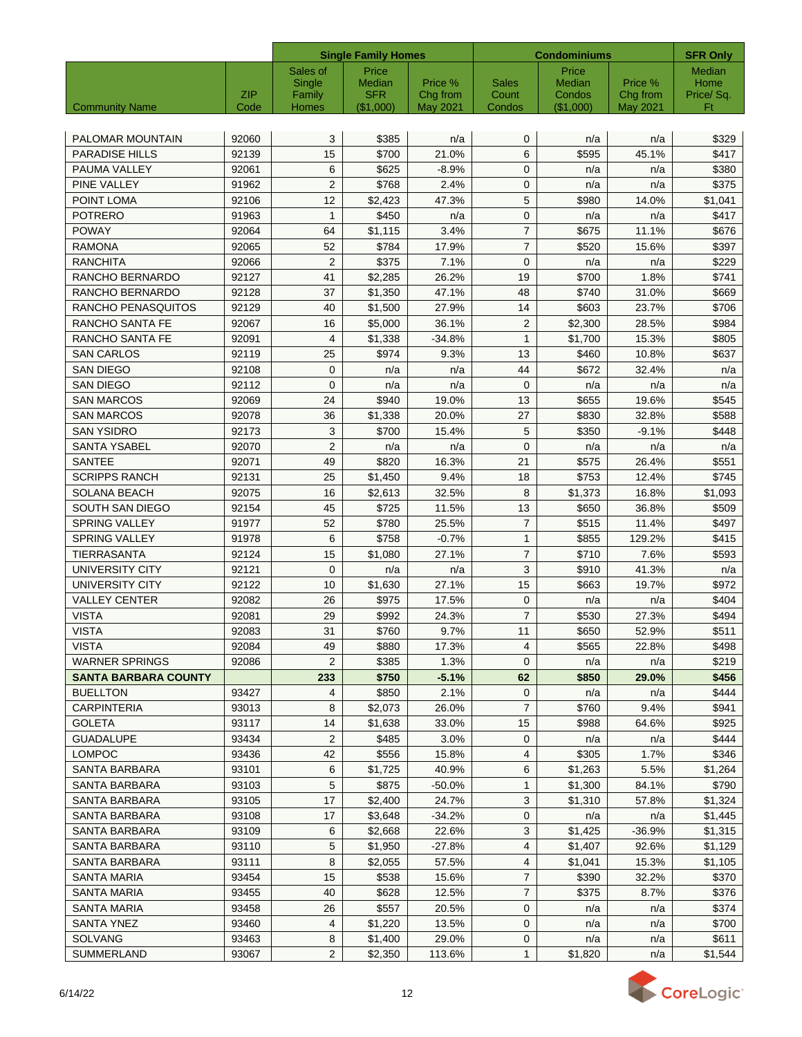|                             |       |                  | <b>Single Family Homes</b> |                     | <b>Condominiums</b>   |                         |                     | <b>SFR Only</b>   |
|-----------------------------|-------|------------------|----------------------------|---------------------|-----------------------|-------------------------|---------------------|-------------------|
|                             |       | Sales of         | Price                      |                     |                       | Price                   |                     | Median            |
|                             | ZIP   | Single<br>Family | Median<br><b>SFR</b>       | Price %<br>Chg from | <b>Sales</b><br>Count | <b>Median</b><br>Condos | Price %<br>Chg from | Home<br>Price/Sq. |
| <b>Community Name</b>       | Code  | Homes            | (\$1,000)                  | <b>May 2021</b>     | Condos                | $(\$1,000)$             | <b>May 2021</b>     | Ft                |
|                             |       |                  |                            |                     |                       |                         |                     |                   |
| PALOMAR MOUNTAIN            | 92060 | 3                | \$385                      | n/a                 | $\mathbf 0$           | n/a                     | n/a                 | \$329             |
| <b>PARADISE HILLS</b>       | 92139 | 15               | \$700                      | 21.0%               | 6                     | \$595                   | 45.1%               | \$417             |
| PAUMA VALLEY                | 92061 | 6                | \$625                      | $-8.9%$             | $\mathbf{0}$          | n/a                     | n/a                 | \$380             |
| PINE VALLEY                 | 91962 | $\overline{2}$   | \$768                      | 2.4%                | $\mathbf{0}$          | n/a                     | n/a                 | \$375             |
| POINT LOMA                  | 92106 | 12               | \$2,423                    | 47.3%               | 5                     | \$980                   | 14.0%               | \$1,041           |
| <b>POTRERO</b>              | 91963 | $\mathbf{1}$     | \$450                      | n/a                 | $\mathbf{0}$          | n/a                     | n/a                 | \$417             |
| <b>POWAY</b>                | 92064 | 64               | \$1,115                    | 3.4%                | $\overline{7}$        | \$675                   | 11.1%               | \$676             |
| <b>RAMONA</b>               | 92065 | 52               | \$784                      | 17.9%               | $\overline{7}$        | \$520                   | 15.6%               | \$397             |
| RANCHITA                    | 92066 | 2                | \$375                      | 7.1%                | $\mathbf{0}$          | n/a                     | n/a                 | \$229             |
| RANCHO BERNARDO             | 92127 | 41               | \$2,285                    | 26.2%               | 19                    | \$700                   | 1.8%                | \$741             |
| RANCHO BERNARDO             | 92128 | 37               | \$1,350                    | 47.1%               | 48                    | \$740                   | 31.0%               | \$669             |
| RANCHO PENASQUITOS          | 92129 | 40               | \$1,500                    | 27.9%               | 14                    | \$603                   | 23.7%               | \$706             |
| <b>RANCHO SANTA FE</b>      | 92067 | 16               | \$5,000                    | 36.1%               | 2                     | \$2,300                 | 28.5%               | \$984             |
| RANCHO SANTA FE             | 92091 | 4                | \$1,338                    | $-34.8%$            | $\mathbf{1}$          | \$1,700                 | 15.3%               | \$805             |
| <b>SAN CARLOS</b>           | 92119 | 25               | \$974                      | 9.3%                | 13                    | \$460                   | 10.8%               | \$637             |
| <b>SAN DIEGO</b>            | 92108 | $\mathbf{0}$     | n/a                        | n/a                 | 44                    | \$672                   | 32.4%               | n/a               |
| <b>SAN DIEGO</b>            | 92112 | $\mathbf{0}$     | n/a                        | n/a                 | $\mathbf 0$           | n/a                     | n/a                 | n/a               |
| <b>SAN MARCOS</b>           | 92069 | 24               | \$940                      | 19.0%               | 13                    | \$655                   | 19.6%               | \$545             |
| <b>SAN MARCOS</b>           | 92078 | 36               | \$1,338                    | 20.0%               | 27                    | \$830                   | 32.8%               | \$588             |
| <b>SAN YSIDRO</b>           | 92173 | 3                | \$700                      | 15.4%               | 5                     | \$350                   | $-9.1%$             | \$448             |
| <b>SANTA YSABEL</b>         | 92070 | $\overline{2}$   | n/a                        | n/a                 | $\mathbf 0$           | n/a                     | n/a                 | n/a               |
| <b>SANTEE</b>               | 92071 | 49               | \$820                      | 16.3%               | 21                    | \$575                   | 26.4%               | \$551             |
| <b>SCRIPPS RANCH</b>        | 92131 | 25               | \$1,450                    | 9.4%                | 18                    | \$753                   | 12.4%               | \$745             |
| <b>SOLANA BEACH</b>         | 92075 | 16               | \$2,613                    | 32.5%               | 8                     | \$1,373                 | 16.8%               | \$1,093           |
| SOUTH SAN DIEGO             | 92154 | 45               | \$725                      | 11.5%               | 13                    | \$650                   | 36.8%               | \$509             |
| <b>SPRING VALLEY</b>        | 91977 | 52               | \$780                      | 25.5%               | $\overline{7}$        | \$515                   | 11.4%               | \$497             |
| <b>SPRING VALLEY</b>        | 91978 | 6                | \$758                      | $-0.7%$             | $\mathbf{1}$          | \$855                   | 129.2%              | \$415             |
| <b>TIERRASANTA</b>          | 92124 | 15               | \$1,080                    | 27.1%               | $\overline{7}$        | \$710                   | 7.6%                | \$593             |
| <b>UNIVERSITY CITY</b>      | 92121 | $\mathbf 0$      | n/a                        | n/a                 | 3                     | \$910                   | 41.3%               | n/a               |
| <b>UNIVERSITY CITY</b>      | 92122 | 10               | \$1.630                    | 27.1%               | 15                    | \$663                   | 19.7%               | \$972             |
| <b>VALLEY CENTER</b>        | 92082 | 26               | \$975                      | 17.5%               | $\mathbf{0}$          | n/a                     | n/a                 | \$404             |
| <b>VISTA</b>                | 92081 | 29               | \$992                      | 24.3%               | $\overline{7}$        | \$530                   | 27.3%               | \$494             |
| <b>VISTA</b>                | 92083 | 31               | \$760                      | 9.7%                | 11                    | \$650                   | 52.9%               | \$511             |
| VISTA                       | 92084 | 49               | \$880                      | 17.3%               | 4                     | \$565                   | 22.8%               | \$498             |
| <b>WARNER SPRINGS</b>       | 92086 | 2                | \$385                      | 1.3%                | $\mathbf{0}$          | n/a                     | n/a                 | \$219             |
| <b>SANTA BARBARA COUNTY</b> |       | 233              | \$750                      | $-5.1%$             | 62                    | \$850                   | 29.0%               | \$456             |
| <b>BUELLTON</b>             | 93427 | 4                | \$850                      | 2.1%                | 0                     | n/a                     | n/a                 | \$444             |
| <b>CARPINTERIA</b>          | 93013 | 8                | \$2,073                    | 26.0%               | $\overline{7}$        | \$760                   | 9.4%                | \$941             |
| <b>GOLETA</b>               | 93117 | 14               | \$1,638                    | 33.0%               | 15                    | \$988                   | 64.6%               | \$925             |
| <b>GUADALUPE</b>            | 93434 | 2                | \$485                      | 3.0%                | 0                     | n/a                     | n/a                 | \$444             |
| LOMPOC                      | 93436 | 42               | \$556                      | 15.8%               | 4                     | \$305                   | 1.7%                | \$346             |
| SANTA BARBARA               | 93101 | 6                | \$1,725                    | 40.9%               | 6                     | \$1,263                 | 5.5%                | \$1,264           |
| SANTA BARBARA               | 93103 | 5                | \$875                      | $-50.0%$            | $\mathbf{1}$          | \$1,300                 | 84.1%               | \$790             |
| SANTA BARBARA               | 93105 | 17               | \$2,400                    | 24.7%               | 3                     | \$1,310                 | 57.8%               | \$1,324           |
| SANTA BARBARA               | 93108 | 17               | \$3,648                    | -34.2%              | 0                     | n/a                     | n/a                 | \$1,445           |
| SANTA BARBARA               | 93109 | 6                | \$2,668                    | 22.6%               | 3                     | \$1,425                 | $-36.9%$            | \$1,315           |
| SANTA BARBARA               | 93110 | 5                | \$1,950                    | -27.8%              | 4                     | \$1,407                 | 92.6%               | \$1,129           |
| SANTA BARBARA               | 93111 | 8                | \$2,055                    | 57.5%               | 4                     | \$1,041                 | 15.3%               | \$1,105           |
| SANTA MARIA                 | 93454 | 15               | \$538                      | 15.6%               | $\overline{7}$        | \$390                   | 32.2%               | \$370             |
| SANTA MARIA                 | 93455 | 40               | \$628                      | 12.5%               | $\overline{7}$        | \$375                   | 8.7%                | \$376             |
| SANTA MARIA                 | 93458 | 26               | \$557                      | 20.5%               | 0                     | n/a                     | n/a                 | \$374             |
| <b>SANTA YNEZ</b>           | 93460 | 4                | \$1,220                    | 13.5%               | $\mathbf 0$           | n/a                     | n/a                 | \$700             |
| <b>SOLVANG</b>              | 93463 | 8                | \$1,400                    | 29.0%               | $\mathbf 0$           | n/a                     | n/a                 | \$611             |
| SUMMERLAND                  | 93067 | $\overline{2}$   | \$2,350                    | 113.6%              | $\mathbf{1}$          | \$1,820                 | n/a                 | \$1,544           |